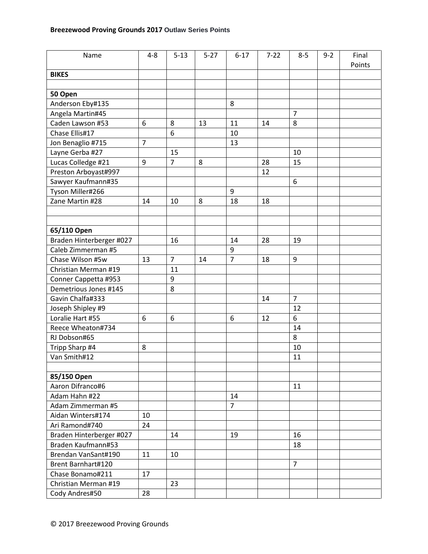| Name                     | $4 - 8$        | $5 - 13$       | $5 - 27$ | $6 - 17$       | $7 - 22$ | $8 - 5$        | $9 - 2$ | Final  |
|--------------------------|----------------|----------------|----------|----------------|----------|----------------|---------|--------|
|                          |                |                |          |                |          |                |         | Points |
| <b>BIKES</b>             |                |                |          |                |          |                |         |        |
|                          |                |                |          |                |          |                |         |        |
| 50 Open                  |                |                |          |                |          |                |         |        |
| Anderson Eby#135         |                |                |          | 8              |          |                |         |        |
| Angela Martin#45         |                |                |          |                |          | $\overline{7}$ |         |        |
| Caden Lawson #53         | 6              | 8              | 13       | 11             | 14       | 8              |         |        |
| Chase Ellis#17           |                | 6              |          | 10             |          |                |         |        |
| Jon Benaglio #715        | $\overline{7}$ |                |          | 13             |          |                |         |        |
| Layne Gerba #27          |                | 15             |          |                |          | 10             |         |        |
| Lucas Colledge #21       | 9              | $\overline{7}$ | 8        |                | 28       | 15             |         |        |
| Preston Arboyast#997     |                |                |          |                | 12       |                |         |        |
| Sawyer Kaufmann#35       |                |                |          |                |          | 6              |         |        |
| Tyson Miller#266         |                |                |          | 9              |          |                |         |        |
| Zane Martin #28          | 14             | 10             | 8        | 18             | 18       |                |         |        |
|                          |                |                |          |                |          |                |         |        |
|                          |                |                |          |                |          |                |         |        |
| 65/110 Open              |                |                |          |                |          |                |         |        |
| Braden Hinterberger #027 |                | 16             |          | 14             | 28       | 19             |         |        |
| Caleb Zimmerman #5       |                |                |          | 9              |          |                |         |        |
| Chase Wilson #5w         | 13             | $\overline{7}$ | 14       | $\overline{7}$ | 18       | 9              |         |        |
| Christian Merman #19     |                | 11             |          |                |          |                |         |        |
| Conner Cappetta #953     |                | 9              |          |                |          |                |         |        |
| Demetrious Jones #145    |                | 8              |          |                |          |                |         |        |
| Gavin Chalfa#333         |                |                |          |                | 14       | $\overline{7}$ |         |        |
| Joseph Shipley #9        |                |                |          |                |          | 12             |         |        |
| Loralie Hart #55         | 6              | 6              |          | 6              | 12       | 6              |         |        |
| Reece Wheaton#734        |                |                |          |                |          | 14             |         |        |
| RJ Dobson#65             |                |                |          |                |          | 8              |         |        |
| Tripp Sharp #4           | 8              |                |          |                |          | 10             |         |        |
| Van Smith#12             |                |                |          |                |          | 11             |         |        |
|                          |                |                |          |                |          |                |         |        |
| 85/150 Open              |                |                |          |                |          |                |         |        |
| Aaron Difranco#6         |                |                |          |                |          | 11             |         |        |
| Adam Hahn #22            |                |                |          | 14             |          |                |         |        |
| Adam Zimmerman #5        |                |                |          | $\overline{7}$ |          |                |         |        |
| Aidan Winters#174        | 10             |                |          |                |          |                |         |        |
| Ari Ramond#740           | 24             |                |          |                |          |                |         |        |
| Braden Hinterberger #027 |                | 14             |          | 19             |          | 16             |         |        |
| Braden Kaufmann#53       |                |                |          |                |          | 18             |         |        |
| Brendan VanSant#190      | 11             | 10             |          |                |          |                |         |        |
| Brent Barnhart#120       |                |                |          |                |          | $\overline{7}$ |         |        |
| Chase Bonamo#211         | 17             |                |          |                |          |                |         |        |
| Christian Merman #19     |                | 23             |          |                |          |                |         |        |
| Cody Andres#50           | 28             |                |          |                |          |                |         |        |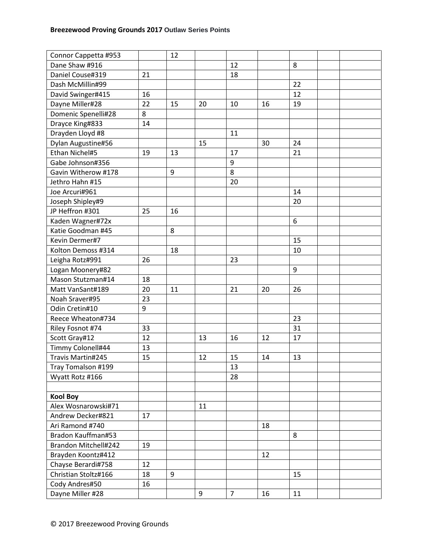| Connor Cappetta #953 |    | 12 |    |                |    |    |  |
|----------------------|----|----|----|----------------|----|----|--|
| Dane Shaw #916       |    |    |    | 12             |    | 8  |  |
| Daniel Couse#319     | 21 |    |    | 18             |    |    |  |
| Dash McMillin#99     |    |    |    |                |    | 22 |  |
| David Swinger#415    | 16 |    |    |                |    | 12 |  |
| Dayne Miller#28      | 22 | 15 | 20 | 10             | 16 | 19 |  |
| Domenic Spenelli#28  | 8  |    |    |                |    |    |  |
| Drayce King#833      | 14 |    |    |                |    |    |  |
| Drayden Lloyd #8     |    |    |    | 11             |    |    |  |
| Dylan Augustine#56   |    |    | 15 |                | 30 | 24 |  |
| Ethan Nichel#5       | 19 | 13 |    | 17             |    | 21 |  |
| Gabe Johnson#356     |    |    |    | 9              |    |    |  |
| Gavin Witherow #178  |    | 9  |    | 8              |    |    |  |
| Jethro Hahn #15      |    |    |    | 20             |    |    |  |
| Joe Arcuri#961       |    |    |    |                |    | 14 |  |
| Joseph Shipley#9     |    |    |    |                |    | 20 |  |
| JP Heffron #301      | 25 | 16 |    |                |    |    |  |
| Kaden Wagner#72x     |    |    |    |                |    | 6  |  |
| Katie Goodman #45    |    | 8  |    |                |    |    |  |
| Kevin Dermer#7       |    |    |    |                |    | 15 |  |
| Kolton Demoss #314   |    | 18 |    |                |    | 10 |  |
| Leigha Rotz#991      | 26 |    |    | 23             |    |    |  |
| Logan Moonery#82     |    |    |    |                |    | 9  |  |
| Mason Stutzman#14    | 18 |    |    |                |    |    |  |
| Matt VanSant#189     | 20 | 11 |    | 21             | 20 | 26 |  |
| Noah Sraver#95       | 23 |    |    |                |    |    |  |
| Odin Cretin#10       | 9  |    |    |                |    |    |  |
| Reece Wheaton#734    |    |    |    |                |    | 23 |  |
| Riley Fosnot #74     | 33 |    |    |                |    | 31 |  |
| Scott Gray#12        | 12 |    | 13 | 16             | 12 | 17 |  |
| Timmy Colonell#44    | 13 |    |    |                |    |    |  |
| Travis Martin#245    | 15 |    | 12 | 15             | 14 | 13 |  |
| Tray Tomalson #199   |    |    |    | 13             |    |    |  |
| Wyatt Rotz #166      |    |    |    | 28             |    |    |  |
|                      |    |    |    |                |    |    |  |
| <b>Kool Boy</b>      |    |    |    |                |    |    |  |
| Alex Wosnarowski#71  |    |    | 11 |                |    |    |  |
| Andrew Decker#821    | 17 |    |    |                |    |    |  |
| Ari Ramond #740      |    |    |    |                | 18 |    |  |
| Bradon Kauffman#53   |    |    |    |                |    | 8  |  |
| Brandon Mitchell#242 | 19 |    |    |                |    |    |  |
| Brayden Koontz#412   |    |    |    |                | 12 |    |  |
| Chayse Berardi#758   | 12 |    |    |                |    |    |  |
| Christian Stoltz#166 | 18 | 9  |    |                |    | 15 |  |
| Cody Andres#50       | 16 |    |    |                |    |    |  |
| Dayne Miller #28     |    |    | 9  | $\overline{7}$ | 16 | 11 |  |
|                      |    |    |    |                |    |    |  |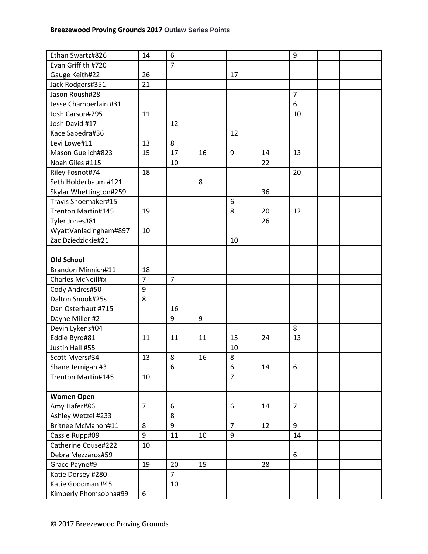| Ethan Swartz#826                            | 14             | 6              |    |                     |    | 9              |  |
|---------------------------------------------|----------------|----------------|----|---------------------|----|----------------|--|
| Evan Griffith #720                          |                | $\overline{7}$ |    |                     |    |                |  |
| Gauge Keith#22                              | 26             |                |    | 17                  |    |                |  |
| Jack Rodgers#351                            | 21             |                |    |                     |    |                |  |
| Jason Roush#28                              |                |                |    |                     |    | $\overline{7}$ |  |
| Jesse Chamberlain #31                       |                |                |    |                     |    | 6              |  |
| Josh Carson#295                             | 11             |                |    |                     |    | 10             |  |
| Josh David #17                              |                | 12             |    |                     |    |                |  |
| Kace Sabedra#36                             |                |                |    | 12                  |    |                |  |
| Levi Lowe#11                                | 13             | 8              |    |                     |    |                |  |
| Mason Guelich#823                           | 15             | 17             | 16 | 9                   | 14 | 13             |  |
| Noah Giles #115                             |                | 10             |    |                     | 22 |                |  |
| Riley Fosnot#74                             | 18             |                |    |                     |    | 20             |  |
| Seth Holderbaum #121                        |                |                | 8  |                     |    |                |  |
| Skylar Whettington#259                      |                |                |    |                     | 36 |                |  |
| Travis Shoemaker#15                         |                |                |    | 6                   |    |                |  |
| Trenton Martin#145                          | 19             |                |    | 8                   | 20 | 12             |  |
| Tyler Jones#81                              |                |                |    |                     | 26 |                |  |
|                                             | 10             |                |    |                     |    |                |  |
| WyattVanladingham#897<br>Zac Dziedzickie#21 |                |                |    | 10                  |    |                |  |
|                                             |                |                |    |                     |    |                |  |
| <b>Old School</b>                           |                |                |    |                     |    |                |  |
| Brandon Minnich#11                          | 18             |                |    |                     |    |                |  |
| Charles McNeill#x                           | $\overline{7}$ | $\overline{7}$ |    |                     |    |                |  |
| Cody Andres#50                              | 9              |                |    |                     |    |                |  |
| Dalton Snook#25s                            | 8              |                |    |                     |    |                |  |
| Dan Osterhaut #715                          |                | 16             |    |                     |    |                |  |
|                                             |                | 9              | 9  |                     |    |                |  |
| Dayne Miller #2                             |                |                |    |                     |    | 8              |  |
| Devin Lykens#04                             |                | 11             | 11 | 15                  | 24 | 13             |  |
| Eddie Byrd#81<br>Justin Hall #55            | 11             |                |    | 10                  |    |                |  |
|                                             |                | 8              | 16 | 8                   |    |                |  |
| Scott Myers#34                              | 13             | 6              |    |                     | 14 | 6              |  |
| Shane Jernigan #3<br>Trenton Martin#145     | 10             |                |    | 6<br>$\overline{7}$ |    |                |  |
|                                             |                |                |    |                     |    |                |  |
| <b>Women Open</b>                           |                |                |    |                     |    |                |  |
| Amy Hafer#86                                | $\overline{7}$ | 6              |    | 6                   | 14 | $\overline{7}$ |  |
| Ashley Wetzel #233                          |                | 8              |    |                     |    |                |  |
| Britnee McMahon#11                          | 8              | 9              |    | $\overline{7}$      | 12 | 9              |  |
| Cassie Rupp#09                              | 9              | 11             | 10 | 9                   |    | 14             |  |
| Catherine Couse#222                         | 10             |                |    |                     |    |                |  |
| Debra Mezzaros#59                           |                |                |    |                     |    | 6              |  |
| Grace Payne#9                               | 19             | 20             | 15 |                     | 28 |                |  |
| Katie Dorsey #280                           |                | $\overline{7}$ |    |                     |    |                |  |
| Katie Goodman #45                           |                | 10             |    |                     |    |                |  |
|                                             | 6              |                |    |                     |    |                |  |
| Kimberly Phomsopha#99                       |                |                |    |                     |    |                |  |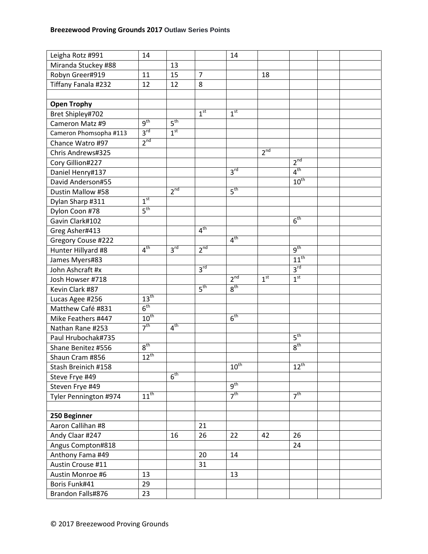| Leigha Rotz #991       | 14               |                 |                 | 14               |                 |                  |  |
|------------------------|------------------|-----------------|-----------------|------------------|-----------------|------------------|--|
| Miranda Stuckey #88    |                  | 13              |                 |                  |                 |                  |  |
| Robyn Greer#919        | 11               | 15              | $\overline{7}$  |                  | 18              |                  |  |
| Tiffany Fanala #232    | 12               | 12              | 8               |                  |                 |                  |  |
|                        |                  |                 |                 |                  |                 |                  |  |
| <b>Open Trophy</b>     |                  |                 |                 |                  |                 |                  |  |
| Bret Shipley#702       |                  |                 | 1 <sup>st</sup> | 1 <sup>st</sup>  |                 |                  |  |
| Cameron Matz #9        | g <sup>th</sup>  | 5 <sup>th</sup> |                 |                  |                 |                  |  |
| Cameron Phomsopha #113 | 3 <sup>rd</sup>  | 1 <sup>st</sup> |                 |                  |                 |                  |  |
| Chance Watro #97       | 2 <sup>nd</sup>  |                 |                 |                  |                 |                  |  |
| Chris Andrews#325      |                  |                 |                 |                  | 2 <sup>nd</sup> |                  |  |
| Cory Gillion#227       |                  |                 |                 |                  |                 | 2 <sup>nd</sup>  |  |
| Daniel Henry#137       |                  |                 |                 | 3 <sup>rd</sup>  |                 | 4 <sup>th</sup>  |  |
| David Anderson#55      |                  |                 |                 |                  |                 | $10^{\text{th}}$ |  |
| Dustin Mallow #58      |                  | $2^{nd}$        |                 | 5 <sup>th</sup>  |                 |                  |  |
| Dylan Sharp #311       | 1 <sup>st</sup>  |                 |                 |                  |                 |                  |  |
| Dylon Coon #78         | 5 <sup>th</sup>  |                 |                 |                  |                 |                  |  |
| Gavin Clark#102        |                  |                 |                 |                  |                 | 6 <sup>th</sup>  |  |
| Greg Asher#413         |                  |                 | 4 <sup>th</sup> |                  |                 |                  |  |
| Gregory Couse #222     |                  |                 |                 | 4 <sup>th</sup>  |                 |                  |  |
| Hunter Hillyard #8     | 4 <sup>th</sup>  | 3 <sup>rd</sup> | 2 <sup>nd</sup> |                  |                 | $q^{th}$         |  |
| James Myers#83         |                  |                 |                 |                  |                 | $11^{th}$        |  |
| John Ashcraft #x       |                  |                 | $3^{\text{rd}}$ |                  |                 | 3 <sup>rd</sup>  |  |
| Josh Howser #718       |                  |                 |                 | 2 <sup>nd</sup>  | 1 <sup>st</sup> | 1 <sup>st</sup>  |  |
| Kevin Clark #87        |                  |                 | 5 <sup>th</sup> | 8 <sup>th</sup>  |                 |                  |  |
| Lucas Agee #256        | 13 <sup>th</sup> |                 |                 |                  |                 |                  |  |
| Matthew Café #831      | 6 <sup>th</sup>  |                 |                 |                  |                 |                  |  |
| Mike Feathers #447     | $10^{\text{th}}$ |                 |                 | 6 <sup>th</sup>  |                 |                  |  |
| Nathan Rane #253       | 7 <sup>th</sup>  | 4 <sup>th</sup> |                 |                  |                 |                  |  |
| Paul Hrubochak#735     |                  |                 |                 |                  |                 | 5 <sup>th</sup>  |  |
| Shane Benitez #556     | 8 <sup>th</sup>  |                 |                 |                  |                 | 8 <sup>th</sup>  |  |
| Shaun Cram #856        | $12^{th}$        |                 |                 |                  |                 |                  |  |
| Stash Breinich #158    |                  |                 |                 | $10^{\text{th}}$ |                 | $12^{\text{th}}$ |  |
| Steve Frye #49         |                  | 6 <sup>th</sup> |                 |                  |                 |                  |  |
| Steven Frye #49        |                  |                 |                 | $q^{th}$         |                 |                  |  |
| Tyler Pennington #974  | $11^{th}$        |                 |                 | 7 <sup>th</sup>  |                 | 7 <sup>th</sup>  |  |
|                        |                  |                 |                 |                  |                 |                  |  |
| 250 Beginner           |                  |                 |                 |                  |                 |                  |  |
| Aaron Callihan #8      |                  |                 | 21              |                  |                 |                  |  |
| Andy Claar #247        |                  | 16              | 26              | 22               | 42              | 26               |  |
| Angus Compton#818      |                  |                 |                 |                  |                 | 24               |  |
| Anthony Fama #49       |                  |                 | 20              | 14               |                 |                  |  |
| Austin Crouse #11      |                  |                 | 31              |                  |                 |                  |  |
| Austin Monroe #6       | 13               |                 |                 | 13               |                 |                  |  |
| Boris Funk#41          | 29               |                 |                 |                  |                 |                  |  |
| Brandon Falls#876      | 23               |                 |                 |                  |                 |                  |  |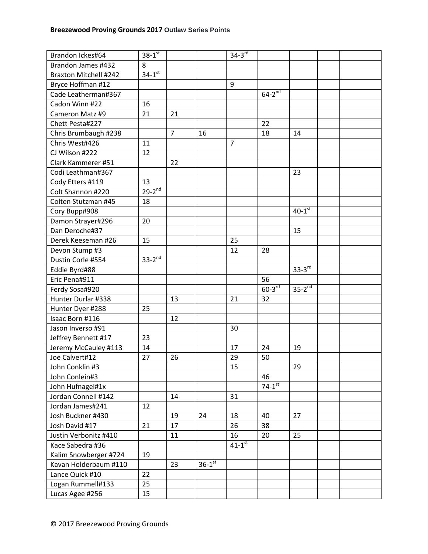| Brandon Ickes#64             | $38 - 1^{st}$          |                |                      | $34-3^{rd}$            |                      |                      |  |
|------------------------------|------------------------|----------------|----------------------|------------------------|----------------------|----------------------|--|
| Brandon James #432           | 8                      |                |                      |                        |                      |                      |  |
| <b>Braxton Mitchell #242</b> | $34 - 1$ <sup>st</sup> |                |                      |                        |                      |                      |  |
| Bryce Hoffman #12            |                        |                |                      | 9                      |                      |                      |  |
| Cade Leatherman#367          |                        |                |                      |                        | $64 - 2^{nd}$        |                      |  |
| Cadon Winn #22               | 16                     |                |                      |                        |                      |                      |  |
| Cameron Matz #9              | 21                     | 21             |                      |                        |                      |                      |  |
| Chett Pesta#227              |                        |                |                      |                        | 22                   |                      |  |
| Chris Brumbaugh #238         |                        | $\overline{7}$ | 16                   |                        | 18                   | 14                   |  |
| Chris West#426               | 11                     |                |                      | $\overline{7}$         |                      |                      |  |
| CJ Wilson #222               | 12                     |                |                      |                        |                      |                      |  |
| Clark Kammerer #51           |                        | 22             |                      |                        |                      |                      |  |
| Codi Leathman#367            |                        |                |                      |                        |                      | 23                   |  |
| Cody Etters #119             | 13                     |                |                      |                        |                      |                      |  |
| Colt Shannon #220            | $29-2^{nd}$            |                |                      |                        |                      |                      |  |
| Colten Stutzman #45          | 18                     |                |                      |                        |                      |                      |  |
| Cory Bupp#908                |                        |                |                      |                        |                      | $40-1$ <sup>st</sup> |  |
| Damon Strayer#296            | 20                     |                |                      |                        |                      |                      |  |
| Dan Deroche#37               |                        |                |                      |                        |                      | 15                   |  |
| Derek Keeseman #26           | 15                     |                |                      | 25                     |                      |                      |  |
| Devon Stump #3               |                        |                |                      | 12                     | 28                   |                      |  |
| Dustin Corle #554            | $33-2$ <sup>nd</sup>   |                |                      |                        |                      |                      |  |
| Eddie Byrd#88                |                        |                |                      |                        |                      | $33 - 3^{rd}$        |  |
| Eric Pena#911                |                        |                |                      |                        | 56                   |                      |  |
| Ferdy Sosa#920               |                        |                |                      |                        | $60-3$ <sup>rd</sup> | $35-2^{nd}$          |  |
| Hunter Durlar #338           |                        | 13             |                      | 21                     | 32                   |                      |  |
| Hunter Dyer #288             | 25                     |                |                      |                        |                      |                      |  |
| Isaac Born #116              |                        | 12             |                      |                        |                      |                      |  |
| Jason Inverso #91            |                        |                |                      | 30                     |                      |                      |  |
| Jeffrey Bennett #17          | 23                     |                |                      |                        |                      |                      |  |
| Jeremy McCauley #113         | 14                     |                |                      | 17                     | 24                   | 19                   |  |
| Joe Calvert#12               | 27                     | 26             |                      | 29                     | 50                   |                      |  |
| John Conklin #3              |                        |                |                      | 15                     |                      | 29                   |  |
| John Conlein#3               |                        |                |                      |                        | 46                   |                      |  |
| John Hufnagel#1x             |                        |                |                      |                        | $74-1$ <sup>st</sup> |                      |  |
| Jordan Connell #142          |                        | 14             |                      | 31                     |                      |                      |  |
| Jordan James#241             | 12                     |                |                      |                        |                      |                      |  |
| Josh Buckner #430            |                        | 19             | 24                   | 18                     | 40                   | 27                   |  |
| Josh David #17               | 21                     | 17             |                      | 26                     | 38                   |                      |  |
| Justin Verbonitz #410        |                        | 11             |                      | 16                     | 20                   | 25                   |  |
| Kace Sabedra #36             |                        |                |                      | $41 - 1$ <sup>st</sup> |                      |                      |  |
| Kalim Snowberger #724        | 19                     |                |                      |                        |                      |                      |  |
| Kavan Holderbaum #110        |                        | 23             | $36-1$ <sup>st</sup> |                        |                      |                      |  |
| Lance Quick #10              | 22                     |                |                      |                        |                      |                      |  |
| Logan Rummell#133            | 25                     |                |                      |                        |                      |                      |  |
| Lucas Agee #256              | 15                     |                |                      |                        |                      |                      |  |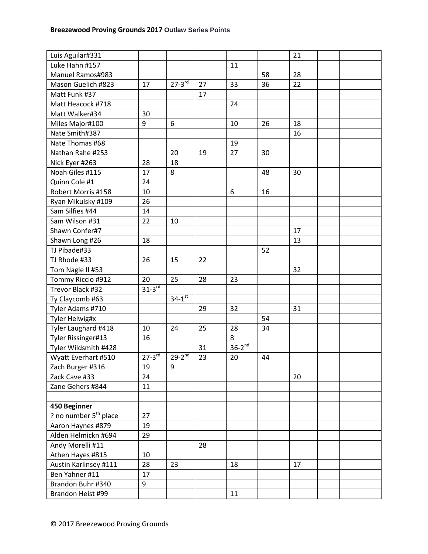| Luis Aguilar#331<br>21<br>Luke Hahn #157<br>11<br>Manuel Ramos#983<br>58<br>28<br>$27 - 3^{rd}$<br>22<br>Mason Guelich #823<br>17<br>33<br>36<br>27<br>Matt Funk #37<br>17<br>Matt Heacock #718<br>24<br>Matt Walker#34<br>30<br>9<br>Miles Major#100<br>26<br>18<br>6<br>10 |
|------------------------------------------------------------------------------------------------------------------------------------------------------------------------------------------------------------------------------------------------------------------------------|
|                                                                                                                                                                                                                                                                              |
|                                                                                                                                                                                                                                                                              |
|                                                                                                                                                                                                                                                                              |
|                                                                                                                                                                                                                                                                              |
|                                                                                                                                                                                                                                                                              |
|                                                                                                                                                                                                                                                                              |
|                                                                                                                                                                                                                                                                              |
| Nate Smith#387<br>16                                                                                                                                                                                                                                                         |
| Nate Thomas #68<br>19                                                                                                                                                                                                                                                        |
| Nathan Rahe #253<br>20<br>27<br>30<br>19                                                                                                                                                                                                                                     |
| 18<br>Nick Eyer #263<br>28                                                                                                                                                                                                                                                   |
| Noah Giles #115<br>17<br>8<br>30<br>48                                                                                                                                                                                                                                       |
| Quinn Cole #1<br>24                                                                                                                                                                                                                                                          |
| 10<br>6<br>16<br>Robert Morris #158                                                                                                                                                                                                                                          |
| 26<br>Ryan Mikulsky #109                                                                                                                                                                                                                                                     |
| Sam Silfies #44<br>14                                                                                                                                                                                                                                                        |
| Sam Wilson #31<br>22<br>10                                                                                                                                                                                                                                                   |
| Shawn Confer#7<br>17                                                                                                                                                                                                                                                         |
| 18<br>13                                                                                                                                                                                                                                                                     |
| Shawn Long #26                                                                                                                                                                                                                                                               |
| TJ Pibade#33<br>52                                                                                                                                                                                                                                                           |
| TJ Rhode #33<br>26<br>15<br>22                                                                                                                                                                                                                                               |
| Tom Nagle II #53<br>32                                                                                                                                                                                                                                                       |
| 20<br>25<br>28<br>Tommy Riccio #912<br>23                                                                                                                                                                                                                                    |
| $31-3^{rd}$<br>Trevor Black #32                                                                                                                                                                                                                                              |
| $34-1$ <sup>st</sup><br>Ty Claycomb #63                                                                                                                                                                                                                                      |
| Tyler Adams #710<br>29<br>32<br>31                                                                                                                                                                                                                                           |
| 54<br>Tyler Helwig#x                                                                                                                                                                                                                                                         |
| Tyler Laughard #418<br>10<br>24<br>25<br>28<br>34                                                                                                                                                                                                                            |
| 8<br>Tyler Rissinger#13<br>16                                                                                                                                                                                                                                                |
| $36-2^{nd}$<br>Tyler Wildsmith #428<br>31                                                                                                                                                                                                                                    |
| $27-3^{rd}$<br>$29-2^{nd}$<br>Wyatt Everhart #510<br>23<br>20<br>44                                                                                                                                                                                                          |
| Zach Burger #316<br>9<br>19                                                                                                                                                                                                                                                  |
| Zack Cave #33<br>24<br>20                                                                                                                                                                                                                                                    |
| Zane Gehers #844<br>11                                                                                                                                                                                                                                                       |
|                                                                                                                                                                                                                                                                              |
| 450 Beginner                                                                                                                                                                                                                                                                 |
| ? no number 5 <sup>th</sup> place<br>27                                                                                                                                                                                                                                      |
| Aaron Haynes #879<br>19                                                                                                                                                                                                                                                      |
| Alden Helmickn #694<br>29                                                                                                                                                                                                                                                    |
| Andy Morelli #11<br>28                                                                                                                                                                                                                                                       |
| Athen Hayes #815<br>10                                                                                                                                                                                                                                                       |
| Austin Karlinsey #111<br>17<br>28<br>23<br>18                                                                                                                                                                                                                                |
| Ben Yahner #11<br>17                                                                                                                                                                                                                                                         |
| Brandon Buhr #340<br>9                                                                                                                                                                                                                                                       |
| Brandon Heist #99<br>11                                                                                                                                                                                                                                                      |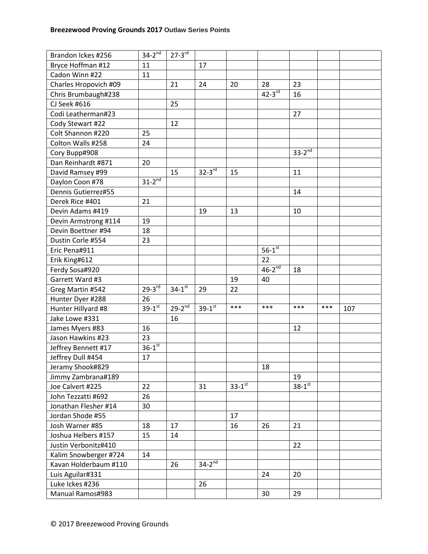| Brandon Ickes #256    | $34-2^{nd}$            | $27-3$ <sup>rd</sup> |               |                      |                      |                        |     |     |
|-----------------------|------------------------|----------------------|---------------|----------------------|----------------------|------------------------|-----|-----|
| Bryce Hoffman #12     | 11                     |                      | 17            |                      |                      |                        |     |     |
| Cadon Winn #22        | 11                     |                      |               |                      |                      |                        |     |     |
| Charles Hropovich #09 |                        | 21                   | 24            | 20                   | 28                   | 23                     |     |     |
| Chris Brumbaugh#238   |                        |                      |               |                      | $42-3^{rd}$          | 16                     |     |     |
| CJ Seek #616          |                        | 25                   |               |                      |                      |                        |     |     |
| Codi Leatherman#23    |                        |                      |               |                      |                      | 27                     |     |     |
| Cody Stewart #22      |                        | 12                   |               |                      |                      |                        |     |     |
| Colt Shannon #220     | 25                     |                      |               |                      |                      |                        |     |     |
| Colton Walls #258     | 24                     |                      |               |                      |                      |                        |     |     |
| Cory Bupp#908         |                        |                      |               |                      |                      | $33-2^{n\overline{d}}$ |     |     |
| Dan Reinhardt #871    | 20                     |                      |               |                      |                      |                        |     |     |
| David Ramsey #99      |                        | 15                   | $32-3^{rd}$   | 15                   |                      | 11                     |     |     |
| Daylon Coon #78       | $31-2^{nd}$            |                      |               |                      |                      |                        |     |     |
| Dennis Gutierrez#55   |                        |                      |               |                      |                      | 14                     |     |     |
| Derek Rice #401       | 21                     |                      |               |                      |                      |                        |     |     |
| Devin Adams #419      |                        |                      | 19            | 13                   |                      | 10                     |     |     |
| Devin Armstrong #114  | 19                     |                      |               |                      |                      |                        |     |     |
| Devin Boettner #94    | 18                     |                      |               |                      |                      |                        |     |     |
| Dustin Corle #554     | 23                     |                      |               |                      |                      |                        |     |     |
| Eric Pena#911         |                        |                      |               |                      | $56-1$ <sup>st</sup> |                        |     |     |
| Erik King#612         |                        |                      |               |                      | 22                   |                        |     |     |
| Ferdy Sosa#920        |                        |                      |               |                      | $46-2^{nd}$          | 18                     |     |     |
| Garrett Ward #3       |                        |                      |               | 19                   | 40                   |                        |     |     |
| Greg Martin #542      | $29 - 3^{rd}$          | $34-1$ <sup>st</sup> | 29            | 22                   |                      |                        |     |     |
| Hunter Dyer #288      | 26                     |                      |               |                      |                      |                        |     |     |
| Hunter Hillyard #8    | $39 - 1^{st}$          | $29 - 2^{nd}$        | $39 - 1^{st}$ | ***                  | $***$                | ***                    | *** | 107 |
| Jake Lowe #331        |                        | 16                   |               |                      |                      |                        |     |     |
| James Myers #83       | 16                     |                      |               |                      |                      | 12                     |     |     |
| Jason Hawkins #23     | 23                     |                      |               |                      |                      |                        |     |     |
| Jeffrey Bennett #17   | $36 - 1$ <sup>st</sup> |                      |               |                      |                      |                        |     |     |
| Jeffrey Dull #454     | 17                     |                      |               |                      |                      |                        |     |     |
| Jeramy Shook#829      |                        |                      |               |                      | 18                   |                        |     |     |
| Jimmy Zambrana#189    |                        |                      |               |                      |                      | 19                     |     |     |
| Joe Calvert #225      | 22                     |                      | 31            | $33-1$ <sup>st</sup> |                      | $38-1$ st              |     |     |
| John Tezzatti #692    | 26                     |                      |               |                      |                      |                        |     |     |
| Jonathan Flesher #14  | 30                     |                      |               |                      |                      |                        |     |     |
| Jordan Shode #55      |                        |                      |               | 17                   |                      |                        |     |     |
| Josh Warner #85       | 18                     | 17                   |               | 16                   | 26                   | 21                     |     |     |
| Joshua Helbers #157   | 15                     | 14                   |               |                      |                      |                        |     |     |
| Justin Verbonitz#410  |                        |                      |               |                      |                      | 22                     |     |     |
| Kalim Snowberger #724 | 14                     |                      |               |                      |                      |                        |     |     |
| Kavan Holderbaum #110 |                        | 26                   | $34-2^{nd}$   |                      |                      |                        |     |     |
| Luis Aguilar#331      |                        |                      |               |                      | 24                   | 20                     |     |     |
| Luke Ickes #236       |                        |                      | 26            |                      |                      |                        |     |     |
| Manual Ramos#983      |                        |                      |               |                      | 30                   | 29                     |     |     |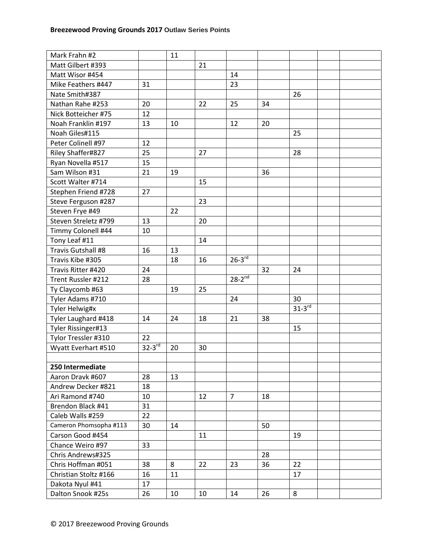| Mark Frahn #2          |             | 11 |    |                      |    |             |  |
|------------------------|-------------|----|----|----------------------|----|-------------|--|
| Matt Gilbert #393      |             |    | 21 |                      |    |             |  |
| Matt Wisor #454        |             |    |    | 14                   |    |             |  |
| Mike Feathers #447     | 31          |    |    | 23                   |    |             |  |
| Nate Smith#387         |             |    |    |                      |    | 26          |  |
| Nathan Rahe #253       | 20          |    | 22 | 25                   | 34 |             |  |
| Nick Botteicher #75    | 12          |    |    |                      |    |             |  |
| Noah Franklin #197     | 13          | 10 |    | 12                   | 20 |             |  |
| Noah Giles#115         |             |    |    |                      |    | 25          |  |
| Peter Colinell #97     | 12          |    |    |                      |    |             |  |
| Riley Shaffer#827      | 25          |    | 27 |                      |    | 28          |  |
| Ryan Novella #517      | 15          |    |    |                      |    |             |  |
| Sam Wilson #31         | 21          | 19 |    |                      | 36 |             |  |
| Scott Walter #714      |             |    | 15 |                      |    |             |  |
| Stephen Friend #728    | 27          |    |    |                      |    |             |  |
| Steve Ferguson #287    |             |    | 23 |                      |    |             |  |
| Steven Frye #49        |             | 22 |    |                      |    |             |  |
| Steven Streletz #799   | 13          |    | 20 |                      |    |             |  |
| Timmy Colonell #44     | 10          |    |    |                      |    |             |  |
| Tony Leaf #11          |             |    | 14 |                      |    |             |  |
| Travis Gutshall #8     | 16          | 13 |    |                      |    |             |  |
| Travis Kibe #305       |             | 18 | 16 | $26-3$ <sup>rd</sup> |    |             |  |
| Travis Ritter #420     | 24          |    |    |                      | 32 | 24          |  |
| Trent Russler #212     | 28          |    |    | $28-2^{nd}$          |    |             |  |
| Ty Claycomb #63        |             | 19 | 25 |                      |    |             |  |
| Tyler Adams #710       |             |    |    | 24                   |    | 30          |  |
| Tyler Helwig#x         |             |    |    |                      |    | $31-3^{rd}$ |  |
| Tyler Laughard #418    | 14          | 24 | 18 | 21                   | 38 |             |  |
| Tyler Rissinger#13     |             |    |    |                      |    | 15          |  |
| Tylor Tressler #310    | 22          |    |    |                      |    |             |  |
| Wyatt Everhart #510    | $32-3^{rd}$ | 20 | 30 |                      |    |             |  |
|                        |             |    |    |                      |    |             |  |
| 250 Intermediate       |             |    |    |                      |    |             |  |
| Aaron Dravk #607       | 28          | 13 |    |                      |    |             |  |
| Andrew Decker #821     | 18          |    |    |                      |    |             |  |
| Ari Ramond #740        | 10          |    | 12 | $\overline{7}$       | 18 |             |  |
| Brendon Black #41      | 31          |    |    |                      |    |             |  |
| Caleb Walls #259       | 22          |    |    |                      |    |             |  |
| Cameron Phomsopha #113 | 30          | 14 |    |                      | 50 |             |  |
| Carson Good #454       |             |    | 11 |                      |    | 19          |  |
| Chance Weiro #97       | 33          |    |    |                      |    |             |  |
| Chris Andrews#325      |             |    |    |                      | 28 |             |  |
| Chris Hoffman #051     | 38          | 8  | 22 | 23                   | 36 | 22          |  |
| Christian Stoltz #166  | 16          | 11 |    |                      |    | 17          |  |
| Dakota Nyul #41        | 17          |    |    |                      |    |             |  |
| Dalton Snook #25s      | 26          | 10 | 10 | 14                   | 26 | 8           |  |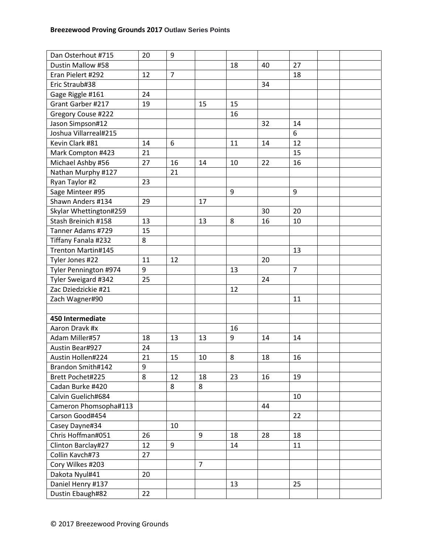| Dustin Mallow #58<br>18<br>27<br>40<br>$\overline{7}$<br>Eran Pielert #292<br>12<br>18<br>Eric Straub#38<br>34<br>Gage Riggle #161<br>24<br>Grant Garber #217<br>19<br>15<br>15<br>Gregory Couse #222<br>16<br>Jason Simpson#12<br>32<br>14<br>6<br>Joshua Villarreal#215<br>Kevin Clark #81<br>14<br>6<br>14<br>12<br>11<br>21<br>15<br>Mark Compton #423<br>Michael Ashby #56<br>27<br>16<br>14<br>22<br>16<br>10<br>Nathan Murphy #127<br>21<br>Ryan Taylor #2<br>23<br>Sage Minteer #95<br>9<br>9<br>Shawn Anders #134<br>29<br>17<br>Skylar Whettington#259<br>20<br>30<br>Stash Breinich #158<br>8<br>16<br>13<br>13<br>10<br>Tanner Adams #729<br>15<br>Tiffany Fanala #232<br>8<br>Trenton Martin#145<br>13<br>Tyler Jones #22<br>11<br>12<br>20<br>9<br>$\overline{7}$<br>Tyler Pennington #974<br>13<br>Tyler Sweigard #342<br>25<br>24<br>Zac Dziedzickie #21<br>12<br>Zach Wagner#90<br>11<br>450 Intermediate<br>Aaron Dravk #x<br>16<br>9<br>Adam Miller#57<br>18<br>13<br>13<br>14<br>14<br>Austin Bear#927<br>24<br>21<br>Austin Hollen#224<br>15<br>10<br>8<br>18<br>16<br>Brandon Smith#142<br>9<br>8<br>12<br>18<br>23<br>16<br>Brett Pochet#225<br>19<br>Cadan Burke #420<br>8<br>8<br>Calvin Guelich#684<br>10<br>Cameron Phomsopha#113<br>44<br>Carson Good#454<br>22<br>Casey Dayne#34<br>10<br>Chris Hoffman#051<br>26<br>9<br>28<br>18<br>18<br>Clinton Barclay#27<br>12<br>9<br>14<br>11<br>Collin Kavch#73<br>27<br>Cory Wilkes #203<br>$\overline{7}$<br>Dakota Nyul#41<br>20<br>Daniel Henry #137<br>13<br>25<br>Dustin Ebaugh#82<br>22 | Dan Osterhout #715 | 20 | 9 |  |  |  |
|----------------------------------------------------------------------------------------------------------------------------------------------------------------------------------------------------------------------------------------------------------------------------------------------------------------------------------------------------------------------------------------------------------------------------------------------------------------------------------------------------------------------------------------------------------------------------------------------------------------------------------------------------------------------------------------------------------------------------------------------------------------------------------------------------------------------------------------------------------------------------------------------------------------------------------------------------------------------------------------------------------------------------------------------------------------------------------------------------------------------------------------------------------------------------------------------------------------------------------------------------------------------------------------------------------------------------------------------------------------------------------------------------------------------------------------------------------------------------------------------------------------------------------------------------------------------|--------------------|----|---|--|--|--|
|                                                                                                                                                                                                                                                                                                                                                                                                                                                                                                                                                                                                                                                                                                                                                                                                                                                                                                                                                                                                                                                                                                                                                                                                                                                                                                                                                                                                                                                                                                                                                                      |                    |    |   |  |  |  |
|                                                                                                                                                                                                                                                                                                                                                                                                                                                                                                                                                                                                                                                                                                                                                                                                                                                                                                                                                                                                                                                                                                                                                                                                                                                                                                                                                                                                                                                                                                                                                                      |                    |    |   |  |  |  |
|                                                                                                                                                                                                                                                                                                                                                                                                                                                                                                                                                                                                                                                                                                                                                                                                                                                                                                                                                                                                                                                                                                                                                                                                                                                                                                                                                                                                                                                                                                                                                                      |                    |    |   |  |  |  |
|                                                                                                                                                                                                                                                                                                                                                                                                                                                                                                                                                                                                                                                                                                                                                                                                                                                                                                                                                                                                                                                                                                                                                                                                                                                                                                                                                                                                                                                                                                                                                                      |                    |    |   |  |  |  |
|                                                                                                                                                                                                                                                                                                                                                                                                                                                                                                                                                                                                                                                                                                                                                                                                                                                                                                                                                                                                                                                                                                                                                                                                                                                                                                                                                                                                                                                                                                                                                                      |                    |    |   |  |  |  |
|                                                                                                                                                                                                                                                                                                                                                                                                                                                                                                                                                                                                                                                                                                                                                                                                                                                                                                                                                                                                                                                                                                                                                                                                                                                                                                                                                                                                                                                                                                                                                                      |                    |    |   |  |  |  |
|                                                                                                                                                                                                                                                                                                                                                                                                                                                                                                                                                                                                                                                                                                                                                                                                                                                                                                                                                                                                                                                                                                                                                                                                                                                                                                                                                                                                                                                                                                                                                                      |                    |    |   |  |  |  |
|                                                                                                                                                                                                                                                                                                                                                                                                                                                                                                                                                                                                                                                                                                                                                                                                                                                                                                                                                                                                                                                                                                                                                                                                                                                                                                                                                                                                                                                                                                                                                                      |                    |    |   |  |  |  |
|                                                                                                                                                                                                                                                                                                                                                                                                                                                                                                                                                                                                                                                                                                                                                                                                                                                                                                                                                                                                                                                                                                                                                                                                                                                                                                                                                                                                                                                                                                                                                                      |                    |    |   |  |  |  |
|                                                                                                                                                                                                                                                                                                                                                                                                                                                                                                                                                                                                                                                                                                                                                                                                                                                                                                                                                                                                                                                                                                                                                                                                                                                                                                                                                                                                                                                                                                                                                                      |                    |    |   |  |  |  |
|                                                                                                                                                                                                                                                                                                                                                                                                                                                                                                                                                                                                                                                                                                                                                                                                                                                                                                                                                                                                                                                                                                                                                                                                                                                                                                                                                                                                                                                                                                                                                                      |                    |    |   |  |  |  |
|                                                                                                                                                                                                                                                                                                                                                                                                                                                                                                                                                                                                                                                                                                                                                                                                                                                                                                                                                                                                                                                                                                                                                                                                                                                                                                                                                                                                                                                                                                                                                                      |                    |    |   |  |  |  |
|                                                                                                                                                                                                                                                                                                                                                                                                                                                                                                                                                                                                                                                                                                                                                                                                                                                                                                                                                                                                                                                                                                                                                                                                                                                                                                                                                                                                                                                                                                                                                                      |                    |    |   |  |  |  |
|                                                                                                                                                                                                                                                                                                                                                                                                                                                                                                                                                                                                                                                                                                                                                                                                                                                                                                                                                                                                                                                                                                                                                                                                                                                                                                                                                                                                                                                                                                                                                                      |                    |    |   |  |  |  |
|                                                                                                                                                                                                                                                                                                                                                                                                                                                                                                                                                                                                                                                                                                                                                                                                                                                                                                                                                                                                                                                                                                                                                                                                                                                                                                                                                                                                                                                                                                                                                                      |                    |    |   |  |  |  |
|                                                                                                                                                                                                                                                                                                                                                                                                                                                                                                                                                                                                                                                                                                                                                                                                                                                                                                                                                                                                                                                                                                                                                                                                                                                                                                                                                                                                                                                                                                                                                                      |                    |    |   |  |  |  |
|                                                                                                                                                                                                                                                                                                                                                                                                                                                                                                                                                                                                                                                                                                                                                                                                                                                                                                                                                                                                                                                                                                                                                                                                                                                                                                                                                                                                                                                                                                                                                                      |                    |    |   |  |  |  |
|                                                                                                                                                                                                                                                                                                                                                                                                                                                                                                                                                                                                                                                                                                                                                                                                                                                                                                                                                                                                                                                                                                                                                                                                                                                                                                                                                                                                                                                                                                                                                                      |                    |    |   |  |  |  |
|                                                                                                                                                                                                                                                                                                                                                                                                                                                                                                                                                                                                                                                                                                                                                                                                                                                                                                                                                                                                                                                                                                                                                                                                                                                                                                                                                                                                                                                                                                                                                                      |                    |    |   |  |  |  |
|                                                                                                                                                                                                                                                                                                                                                                                                                                                                                                                                                                                                                                                                                                                                                                                                                                                                                                                                                                                                                                                                                                                                                                                                                                                                                                                                                                                                                                                                                                                                                                      |                    |    |   |  |  |  |
|                                                                                                                                                                                                                                                                                                                                                                                                                                                                                                                                                                                                                                                                                                                                                                                                                                                                                                                                                                                                                                                                                                                                                                                                                                                                                                                                                                                                                                                                                                                                                                      |                    |    |   |  |  |  |
|                                                                                                                                                                                                                                                                                                                                                                                                                                                                                                                                                                                                                                                                                                                                                                                                                                                                                                                                                                                                                                                                                                                                                                                                                                                                                                                                                                                                                                                                                                                                                                      |                    |    |   |  |  |  |
|                                                                                                                                                                                                                                                                                                                                                                                                                                                                                                                                                                                                                                                                                                                                                                                                                                                                                                                                                                                                                                                                                                                                                                                                                                                                                                                                                                                                                                                                                                                                                                      |                    |    |   |  |  |  |
|                                                                                                                                                                                                                                                                                                                                                                                                                                                                                                                                                                                                                                                                                                                                                                                                                                                                                                                                                                                                                                                                                                                                                                                                                                                                                                                                                                                                                                                                                                                                                                      |                    |    |   |  |  |  |
|                                                                                                                                                                                                                                                                                                                                                                                                                                                                                                                                                                                                                                                                                                                                                                                                                                                                                                                                                                                                                                                                                                                                                                                                                                                                                                                                                                                                                                                                                                                                                                      |                    |    |   |  |  |  |
|                                                                                                                                                                                                                                                                                                                                                                                                                                                                                                                                                                                                                                                                                                                                                                                                                                                                                                                                                                                                                                                                                                                                                                                                                                                                                                                                                                                                                                                                                                                                                                      |                    |    |   |  |  |  |
|                                                                                                                                                                                                                                                                                                                                                                                                                                                                                                                                                                                                                                                                                                                                                                                                                                                                                                                                                                                                                                                                                                                                                                                                                                                                                                                                                                                                                                                                                                                                                                      |                    |    |   |  |  |  |
|                                                                                                                                                                                                                                                                                                                                                                                                                                                                                                                                                                                                                                                                                                                                                                                                                                                                                                                                                                                                                                                                                                                                                                                                                                                                                                                                                                                                                                                                                                                                                                      |                    |    |   |  |  |  |
|                                                                                                                                                                                                                                                                                                                                                                                                                                                                                                                                                                                                                                                                                                                                                                                                                                                                                                                                                                                                                                                                                                                                                                                                                                                                                                                                                                                                                                                                                                                                                                      |                    |    |   |  |  |  |
|                                                                                                                                                                                                                                                                                                                                                                                                                                                                                                                                                                                                                                                                                                                                                                                                                                                                                                                                                                                                                                                                                                                                                                                                                                                                                                                                                                                                                                                                                                                                                                      |                    |    |   |  |  |  |
|                                                                                                                                                                                                                                                                                                                                                                                                                                                                                                                                                                                                                                                                                                                                                                                                                                                                                                                                                                                                                                                                                                                                                                                                                                                                                                                                                                                                                                                                                                                                                                      |                    |    |   |  |  |  |
|                                                                                                                                                                                                                                                                                                                                                                                                                                                                                                                                                                                                                                                                                                                                                                                                                                                                                                                                                                                                                                                                                                                                                                                                                                                                                                                                                                                                                                                                                                                                                                      |                    |    |   |  |  |  |
|                                                                                                                                                                                                                                                                                                                                                                                                                                                                                                                                                                                                                                                                                                                                                                                                                                                                                                                                                                                                                                                                                                                                                                                                                                                                                                                                                                                                                                                                                                                                                                      |                    |    |   |  |  |  |
|                                                                                                                                                                                                                                                                                                                                                                                                                                                                                                                                                                                                                                                                                                                                                                                                                                                                                                                                                                                                                                                                                                                                                                                                                                                                                                                                                                                                                                                                                                                                                                      |                    |    |   |  |  |  |
|                                                                                                                                                                                                                                                                                                                                                                                                                                                                                                                                                                                                                                                                                                                                                                                                                                                                                                                                                                                                                                                                                                                                                                                                                                                                                                                                                                                                                                                                                                                                                                      |                    |    |   |  |  |  |
|                                                                                                                                                                                                                                                                                                                                                                                                                                                                                                                                                                                                                                                                                                                                                                                                                                                                                                                                                                                                                                                                                                                                                                                                                                                                                                                                                                                                                                                                                                                                                                      |                    |    |   |  |  |  |
|                                                                                                                                                                                                                                                                                                                                                                                                                                                                                                                                                                                                                                                                                                                                                                                                                                                                                                                                                                                                                                                                                                                                                                                                                                                                                                                                                                                                                                                                                                                                                                      |                    |    |   |  |  |  |
|                                                                                                                                                                                                                                                                                                                                                                                                                                                                                                                                                                                                                                                                                                                                                                                                                                                                                                                                                                                                                                                                                                                                                                                                                                                                                                                                                                                                                                                                                                                                                                      |                    |    |   |  |  |  |
|                                                                                                                                                                                                                                                                                                                                                                                                                                                                                                                                                                                                                                                                                                                                                                                                                                                                                                                                                                                                                                                                                                                                                                                                                                                                                                                                                                                                                                                                                                                                                                      |                    |    |   |  |  |  |
|                                                                                                                                                                                                                                                                                                                                                                                                                                                                                                                                                                                                                                                                                                                                                                                                                                                                                                                                                                                                                                                                                                                                                                                                                                                                                                                                                                                                                                                                                                                                                                      |                    |    |   |  |  |  |
|                                                                                                                                                                                                                                                                                                                                                                                                                                                                                                                                                                                                                                                                                                                                                                                                                                                                                                                                                                                                                                                                                                                                                                                                                                                                                                                                                                                                                                                                                                                                                                      |                    |    |   |  |  |  |
|                                                                                                                                                                                                                                                                                                                                                                                                                                                                                                                                                                                                                                                                                                                                                                                                                                                                                                                                                                                                                                                                                                                                                                                                                                                                                                                                                                                                                                                                                                                                                                      |                    |    |   |  |  |  |
|                                                                                                                                                                                                                                                                                                                                                                                                                                                                                                                                                                                                                                                                                                                                                                                                                                                                                                                                                                                                                                                                                                                                                                                                                                                                                                                                                                                                                                                                                                                                                                      |                    |    |   |  |  |  |
|                                                                                                                                                                                                                                                                                                                                                                                                                                                                                                                                                                                                                                                                                                                                                                                                                                                                                                                                                                                                                                                                                                                                                                                                                                                                                                                                                                                                                                                                                                                                                                      |                    |    |   |  |  |  |
|                                                                                                                                                                                                                                                                                                                                                                                                                                                                                                                                                                                                                                                                                                                                                                                                                                                                                                                                                                                                                                                                                                                                                                                                                                                                                                                                                                                                                                                                                                                                                                      |                    |    |   |  |  |  |
|                                                                                                                                                                                                                                                                                                                                                                                                                                                                                                                                                                                                                                                                                                                                                                                                                                                                                                                                                                                                                                                                                                                                                                                                                                                                                                                                                                                                                                                                                                                                                                      |                    |    |   |  |  |  |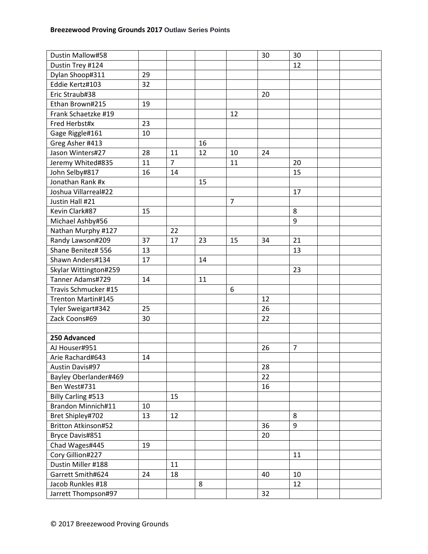| Dustin Mallow#58      |    |                |    |                | 30 | 30             |  |
|-----------------------|----|----------------|----|----------------|----|----------------|--|
| Dustin Trey #124      |    |                |    |                |    | 12             |  |
| Dylan Shoop#311       | 29 |                |    |                |    |                |  |
| Eddie Kertz#103       | 32 |                |    |                |    |                |  |
| Eric Straub#38        |    |                |    |                | 20 |                |  |
| Ethan Brown#215       | 19 |                |    |                |    |                |  |
| Frank Schaetzke #19   |    |                |    | 12             |    |                |  |
| Fred Herbst#x         | 23 |                |    |                |    |                |  |
| Gage Riggle#161       | 10 |                |    |                |    |                |  |
| Greg Asher #413       |    |                | 16 |                |    |                |  |
| Jason Winters#27      | 28 | 11             | 12 | 10             | 24 |                |  |
| Jeremy Whited#835     | 11 | $\overline{7}$ |    | 11             |    | 20             |  |
| John Selby#817        | 16 | 14             |    |                |    | 15             |  |
| Jonathan Rank #x      |    |                | 15 |                |    |                |  |
| Joshua Villarreal#22  |    |                |    |                |    | 17             |  |
| Justin Hall #21       |    |                |    | $\overline{7}$ |    |                |  |
| Kevin Clark#87        | 15 |                |    |                |    | 8              |  |
| Michael Ashby#56      |    |                |    |                |    | 9              |  |
| Nathan Murphy #127    |    | 22             |    |                |    |                |  |
| Randy Lawson#209      | 37 | 17             | 23 | 15             | 34 | 21             |  |
| Shane Benitez# 556    | 13 |                |    |                |    | 13             |  |
| Shawn Anders#134      | 17 |                | 14 |                |    |                |  |
| Skylar Wittington#259 |    |                |    |                |    | 23             |  |
| Tanner Adams#729      | 14 |                | 11 |                |    |                |  |
| Travis Schmucker #15  |    |                |    | 6              |    |                |  |
| Trenton Martin#145    |    |                |    |                | 12 |                |  |
| Tyler Sweigart#342    | 25 |                |    |                | 26 |                |  |
| Zack Coons#69         | 30 |                |    |                | 22 |                |  |
|                       |    |                |    |                |    |                |  |
| 250 Advanced          |    |                |    |                |    |                |  |
| AJ Houser#951         |    |                |    |                | 26 | $\overline{7}$ |  |
| Arie Rachard#643      | 14 |                |    |                |    |                |  |
| Austin Davis#97       |    |                |    |                | 28 |                |  |
| Bayley Oberlander#469 |    |                |    |                | 22 |                |  |
| Ben West#731          |    |                |    |                | 16 |                |  |
| Billy Carling #513    |    | 15             |    |                |    |                |  |
| Brandon Minnich#11    | 10 |                |    |                |    |                |  |
| Bret Shipley#702      | 13 | 12             |    |                |    | 8              |  |
| Britton Atkinson#52   |    |                |    |                | 36 | 9              |  |
| Bryce Davis#851       |    |                |    |                | 20 |                |  |
| Chad Wages#445        | 19 |                |    |                |    |                |  |
| Cory Gillion#227      |    |                |    |                |    | 11             |  |
| Dustin Miller #188    |    | 11             |    |                |    |                |  |
| Garrett Smith#624     | 24 | 18             |    |                | 40 | 10             |  |
| Jacob Runkles #18     |    |                | 8  |                |    | 12             |  |
| Jarrett Thompson#97   |    |                |    |                | 32 |                |  |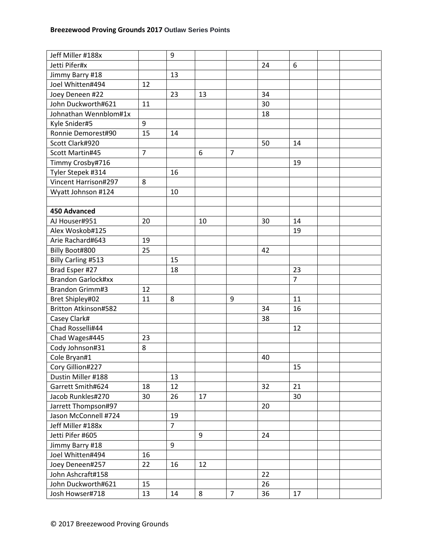| Jetti Pifer#x<br>24<br>6<br>Jimmy Barry #18<br>13<br>Joel Whitten#494<br>12<br>Joey Deneen #22<br>34<br>23<br>13<br>John Duckworth#621<br>30<br>11<br>Johnathan Wennblom#1x<br>18<br>Kyle Snider#5<br>9<br>Ronnie Demorest#90<br>15<br>14<br>Scott Clark#920<br>50<br>14<br>$\overline{7}$<br>Scott Martin#45<br>$\overline{7}$<br>6<br>Timmy Crosby#716<br>19<br>Tyler Stepek #314<br>16<br>Vincent Harrison#297<br>8<br>Wyatt Johnson #124<br>10<br><b>450 Advanced</b><br>AJ Houser#951<br>20<br>10<br>30<br>14<br>Alex Woskob#125<br>19<br>Arie Rachard#643<br>19<br>25<br>Billy Boot#800<br>42<br>Billy Carling #513<br>15<br>Brad Esper #27<br>18<br>23<br><b>Brandon Garlock#xx</b><br>$\overline{7}$<br><b>Brandon Grimm#3</b><br>12<br>Bret Shipley#02<br>11<br>8<br>9<br>11<br><b>Britton Atkinson#582</b><br>34<br>16 |
|----------------------------------------------------------------------------------------------------------------------------------------------------------------------------------------------------------------------------------------------------------------------------------------------------------------------------------------------------------------------------------------------------------------------------------------------------------------------------------------------------------------------------------------------------------------------------------------------------------------------------------------------------------------------------------------------------------------------------------------------------------------------------------------------------------------------------------|
|                                                                                                                                                                                                                                                                                                                                                                                                                                                                                                                                                                                                                                                                                                                                                                                                                                  |
|                                                                                                                                                                                                                                                                                                                                                                                                                                                                                                                                                                                                                                                                                                                                                                                                                                  |
|                                                                                                                                                                                                                                                                                                                                                                                                                                                                                                                                                                                                                                                                                                                                                                                                                                  |
|                                                                                                                                                                                                                                                                                                                                                                                                                                                                                                                                                                                                                                                                                                                                                                                                                                  |
|                                                                                                                                                                                                                                                                                                                                                                                                                                                                                                                                                                                                                                                                                                                                                                                                                                  |
|                                                                                                                                                                                                                                                                                                                                                                                                                                                                                                                                                                                                                                                                                                                                                                                                                                  |
|                                                                                                                                                                                                                                                                                                                                                                                                                                                                                                                                                                                                                                                                                                                                                                                                                                  |
|                                                                                                                                                                                                                                                                                                                                                                                                                                                                                                                                                                                                                                                                                                                                                                                                                                  |
|                                                                                                                                                                                                                                                                                                                                                                                                                                                                                                                                                                                                                                                                                                                                                                                                                                  |
|                                                                                                                                                                                                                                                                                                                                                                                                                                                                                                                                                                                                                                                                                                                                                                                                                                  |
|                                                                                                                                                                                                                                                                                                                                                                                                                                                                                                                                                                                                                                                                                                                                                                                                                                  |
|                                                                                                                                                                                                                                                                                                                                                                                                                                                                                                                                                                                                                                                                                                                                                                                                                                  |
|                                                                                                                                                                                                                                                                                                                                                                                                                                                                                                                                                                                                                                                                                                                                                                                                                                  |
|                                                                                                                                                                                                                                                                                                                                                                                                                                                                                                                                                                                                                                                                                                                                                                                                                                  |
|                                                                                                                                                                                                                                                                                                                                                                                                                                                                                                                                                                                                                                                                                                                                                                                                                                  |
|                                                                                                                                                                                                                                                                                                                                                                                                                                                                                                                                                                                                                                                                                                                                                                                                                                  |
|                                                                                                                                                                                                                                                                                                                                                                                                                                                                                                                                                                                                                                                                                                                                                                                                                                  |
|                                                                                                                                                                                                                                                                                                                                                                                                                                                                                                                                                                                                                                                                                                                                                                                                                                  |
|                                                                                                                                                                                                                                                                                                                                                                                                                                                                                                                                                                                                                                                                                                                                                                                                                                  |
|                                                                                                                                                                                                                                                                                                                                                                                                                                                                                                                                                                                                                                                                                                                                                                                                                                  |
|                                                                                                                                                                                                                                                                                                                                                                                                                                                                                                                                                                                                                                                                                                                                                                                                                                  |
|                                                                                                                                                                                                                                                                                                                                                                                                                                                                                                                                                                                                                                                                                                                                                                                                                                  |
|                                                                                                                                                                                                                                                                                                                                                                                                                                                                                                                                                                                                                                                                                                                                                                                                                                  |
|                                                                                                                                                                                                                                                                                                                                                                                                                                                                                                                                                                                                                                                                                                                                                                                                                                  |
|                                                                                                                                                                                                                                                                                                                                                                                                                                                                                                                                                                                                                                                                                                                                                                                                                                  |
|                                                                                                                                                                                                                                                                                                                                                                                                                                                                                                                                                                                                                                                                                                                                                                                                                                  |
| Casey Clark#<br>38                                                                                                                                                                                                                                                                                                                                                                                                                                                                                                                                                                                                                                                                                                                                                                                                               |
| Chad Rosselli#44<br>12                                                                                                                                                                                                                                                                                                                                                                                                                                                                                                                                                                                                                                                                                                                                                                                                           |
| Chad Wages#445<br>23                                                                                                                                                                                                                                                                                                                                                                                                                                                                                                                                                                                                                                                                                                                                                                                                             |
| 8<br>Cody Johnson#31                                                                                                                                                                                                                                                                                                                                                                                                                                                                                                                                                                                                                                                                                                                                                                                                             |
| Cole Bryan#1<br>40                                                                                                                                                                                                                                                                                                                                                                                                                                                                                                                                                                                                                                                                                                                                                                                                               |
| Cory Gillion#227<br>15                                                                                                                                                                                                                                                                                                                                                                                                                                                                                                                                                                                                                                                                                                                                                                                                           |
| Dustin Miller #188<br>13                                                                                                                                                                                                                                                                                                                                                                                                                                                                                                                                                                                                                                                                                                                                                                                                         |
| Garrett Smith#624<br>21<br>18<br>12<br>32                                                                                                                                                                                                                                                                                                                                                                                                                                                                                                                                                                                                                                                                                                                                                                                        |
| Jacob Runkles#270<br>30<br>26<br>17<br>30                                                                                                                                                                                                                                                                                                                                                                                                                                                                                                                                                                                                                                                                                                                                                                                        |
| Jarrett Thompson#97<br>20                                                                                                                                                                                                                                                                                                                                                                                                                                                                                                                                                                                                                                                                                                                                                                                                        |
| Jason McConnell #724<br>19                                                                                                                                                                                                                                                                                                                                                                                                                                                                                                                                                                                                                                                                                                                                                                                                       |
| $\overline{7}$<br>Jeff Miller #188x                                                                                                                                                                                                                                                                                                                                                                                                                                                                                                                                                                                                                                                                                                                                                                                              |
| Jetti Pifer #605<br>9<br>24                                                                                                                                                                                                                                                                                                                                                                                                                                                                                                                                                                                                                                                                                                                                                                                                      |
| Jimmy Barry #18<br>9                                                                                                                                                                                                                                                                                                                                                                                                                                                                                                                                                                                                                                                                                                                                                                                                             |
| Joel Whitten#494<br>16                                                                                                                                                                                                                                                                                                                                                                                                                                                                                                                                                                                                                                                                                                                                                                                                           |
| 22<br>Joey Deneen#257<br>16<br>12                                                                                                                                                                                                                                                                                                                                                                                                                                                                                                                                                                                                                                                                                                                                                                                                |
| John Ashcraft#158<br>22                                                                                                                                                                                                                                                                                                                                                                                                                                                                                                                                                                                                                                                                                                                                                                                                          |
| John Duckworth#621<br>26<br>15                                                                                                                                                                                                                                                                                                                                                                                                                                                                                                                                                                                                                                                                                                                                                                                                   |
| $\overline{7}$<br>8<br>36<br>Josh Howser#718<br>13<br>17<br>14                                                                                                                                                                                                                                                                                                                                                                                                                                                                                                                                                                                                                                                                                                                                                                   |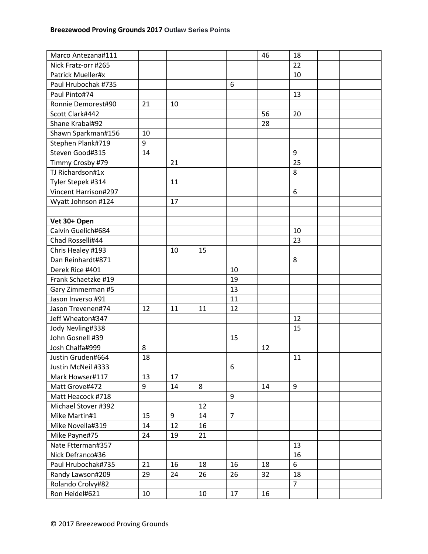| Marco Antezana#111   |    |    |    |                | 46 | 18             |  |
|----------------------|----|----|----|----------------|----|----------------|--|
| Nick Fratz-orr #265  |    |    |    |                |    | 22             |  |
| Patrick Mueller#x    |    |    |    |                |    | 10             |  |
| Paul Hrubochak #735  |    |    |    | 6              |    |                |  |
| Paul Pinto#74        |    |    |    |                |    | 13             |  |
| Ronnie Demorest#90   | 21 | 10 |    |                |    |                |  |
| Scott Clark#442      |    |    |    |                | 56 | 20             |  |
| Shane Krabal#92      |    |    |    |                | 28 |                |  |
| Shawn Sparkman#156   | 10 |    |    |                |    |                |  |
| Stephen Plank#719    | 9  |    |    |                |    |                |  |
| Steven Good#315      | 14 |    |    |                |    | 9              |  |
| Timmy Crosby #79     |    | 21 |    |                |    | 25             |  |
| TJ Richardson#1x     |    |    |    |                |    | 8              |  |
| Tyler Stepek #314    |    | 11 |    |                |    |                |  |
| Vincent Harrison#297 |    |    |    |                |    | 6              |  |
| Wyatt Johnson #124   |    | 17 |    |                |    |                |  |
|                      |    |    |    |                |    |                |  |
| Vet 30+ Open         |    |    |    |                |    |                |  |
| Calvin Guelich#684   |    |    |    |                |    | 10             |  |
| Chad Rosselli#44     |    |    |    |                |    | 23             |  |
| Chris Healey #193    |    | 10 | 15 |                |    |                |  |
| Dan Reinhardt#871    |    |    |    |                |    | 8              |  |
| Derek Rice #401      |    |    |    | 10             |    |                |  |
| Frank Schaetzke #19  |    |    |    | 19             |    |                |  |
| Gary Zimmerman #5    |    |    |    | 13             |    |                |  |
| Jason Inverso #91    |    |    |    | 11             |    |                |  |
| Jason Trevenen#74    | 12 | 11 | 11 | 12             |    |                |  |
| Jeff Wheaton#347     |    |    |    |                |    | 12             |  |
| Jody Nevling#338     |    |    |    |                |    | 15             |  |
| John Gosnell #39     |    |    |    | 15             |    |                |  |
| Josh Chalfa#999      | 8  |    |    |                | 12 |                |  |
| Justin Gruden#664    | 18 |    |    |                |    | 11             |  |
| Justin McNeil #333   |    |    |    | 6              |    |                |  |
| Mark Howser#117      | 13 | 17 |    |                |    |                |  |
| Matt Grove#472       | 9  | 14 | 8  |                | 14 | 9              |  |
| Matt Heacock #718    |    |    |    | 9              |    |                |  |
| Michael Stover #392  |    |    | 12 |                |    |                |  |
| Mike Martin#1        | 15 | 9  | 14 | $\overline{7}$ |    |                |  |
| Mike Novella#319     | 14 | 12 | 16 |                |    |                |  |
| Mike Payne#75        | 24 | 19 | 21 |                |    |                |  |
| Nate Ftterman#357    |    |    |    |                |    | 13             |  |
| Nick Defranco#36     |    |    |    |                |    | 16             |  |
| Paul Hrubochak#735   | 21 | 16 | 18 | 16             | 18 | 6              |  |
| Randy Lawson#209     | 29 | 24 | 26 | 26             | 32 | 18             |  |
| Rolando Crolvy#82    |    |    |    |                |    | $\overline{7}$ |  |
| Ron Heidel#621       | 10 |    | 10 | 17             | 16 |                |  |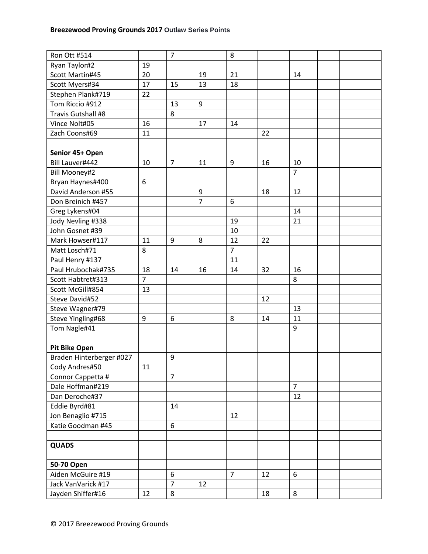| Ron Ott #514             |                | $\overline{7}$ |                | 8              |    |                |  |
|--------------------------|----------------|----------------|----------------|----------------|----|----------------|--|
| Ryan Taylor#2            | 19             |                |                |                |    |                |  |
| Scott Martin#45          | 20             |                | 19             | 21             |    | 14             |  |
| Scott Myers#34           | 17             | 15             | 13             | 18             |    |                |  |
| Stephen Plank#719        | 22             |                |                |                |    |                |  |
| Tom Riccio #912          |                | 13             | 9              |                |    |                |  |
| Travis Gutshall #8       |                | 8              |                |                |    |                |  |
| Vince Nolt#05            | 16             |                | 17             | 14             |    |                |  |
| Zach Coons#69            | 11             |                |                |                | 22 |                |  |
|                          |                |                |                |                |    |                |  |
| Senior 45+ Open          |                |                |                |                |    |                |  |
| Bill Lauver#442          | 10             | $\overline{7}$ | 11             | 9              | 16 | 10             |  |
| <b>Bill Mooney#2</b>     |                |                |                |                |    | $\overline{7}$ |  |
| Bryan Haynes#400         | 6              |                |                |                |    |                |  |
| David Anderson #55       |                |                | 9              |                | 18 | 12             |  |
| Don Breinich #457        |                |                | $\overline{7}$ | 6              |    |                |  |
| Greg Lykens#04           |                |                |                |                |    | 14             |  |
| Jody Nevling #338        |                |                |                | 19             |    | 21             |  |
| John Gosnet #39          |                |                |                | 10             |    |                |  |
| Mark Howser#117          | 11             | 9              | 8              | 12             | 22 |                |  |
| Matt Losch#71            | 8              |                |                | $\overline{7}$ |    |                |  |
| Paul Henry #137          |                |                |                | 11             |    |                |  |
| Paul Hrubochak#735       | 18             | 14             | 16             | 14             | 32 | 16             |  |
| Scott Habtret#313        | $\overline{7}$ |                |                |                |    | 8              |  |
| Scott McGill#854         | 13             |                |                |                |    |                |  |
| Steve David#52           |                |                |                |                | 12 |                |  |
| Steve Wagner#79          |                |                |                |                |    | 13             |  |
| Steve Yingling#68        | 9              | 6              |                | 8              | 14 | 11             |  |
|                          |                |                |                |                |    | 9              |  |
| Tom Nagle#41             |                |                |                |                |    |                |  |
|                          |                |                |                |                |    |                |  |
| <b>Pit Bike Open</b>     |                |                |                |                |    |                |  |
| Braden Hinterberger #027 |                | 9              |                |                |    |                |  |
| Cody Andres#50           | 11             |                |                |                |    |                |  |
| Connor Cappetta #        |                | $\overline{7}$ |                |                |    |                |  |
| Dale Hoffman#219         |                |                |                |                |    | $\overline{7}$ |  |
| Dan Deroche#37           |                |                |                |                |    | 12             |  |
| Eddie Byrd#81            |                | 14             |                |                |    |                |  |
| Jon Benaglio #715        |                |                |                | 12             |    |                |  |
| Katie Goodman #45        |                | 6              |                |                |    |                |  |
|                          |                |                |                |                |    |                |  |
| <b>QUADS</b>             |                |                |                |                |    |                |  |
|                          |                |                |                |                |    |                |  |
| 50-70 Open               |                |                |                |                |    |                |  |
| Aiden McGuire #19        |                | 6              |                | $\overline{7}$ | 12 | 6              |  |
| Jack VanVarick #17       |                | $\overline{7}$ | 12             |                |    |                |  |
| Jayden Shiffer#16        | 12             | 8              |                |                | 18 | 8              |  |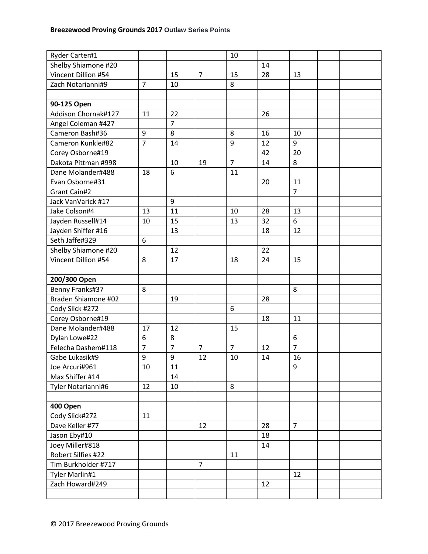| Ryder Carter#1      |                |                |                | 10             |    |                |  |
|---------------------|----------------|----------------|----------------|----------------|----|----------------|--|
| Shelby Shiamone #20 |                |                |                |                | 14 |                |  |
| Vincent Dillion #54 |                | 15             | $\overline{7}$ | 15             | 28 | 13             |  |
| Zach Notarianni#9   | $\overline{7}$ | 10             |                | 8              |    |                |  |
|                     |                |                |                |                |    |                |  |
| 90-125 Open         |                |                |                |                |    |                |  |
| Addison Chornak#127 | 11             | 22             |                |                | 26 |                |  |
| Angel Coleman #427  |                | $\overline{7}$ |                |                |    |                |  |
| Cameron Bash#36     | 9              | 8              |                | 8              | 16 | 10             |  |
| Cameron Kunkle#82   | $\overline{7}$ | 14             |                | 9              | 12 | 9              |  |
| Corey Osborne#19    |                |                |                |                | 42 | 20             |  |
| Dakota Pittman #998 |                | 10             | 19             | $\overline{7}$ | 14 | 8              |  |
| Dane Molander#488   | 18             | 6              |                | 11             |    |                |  |
| Evan Osborne#31     |                |                |                |                | 20 | 11             |  |
| Grant Cain#2        |                |                |                |                |    | $\overline{7}$ |  |
| Jack VanVarick #17  |                | 9              |                |                |    |                |  |
| Jake Colson#4       | 13             | 11             |                | 10             | 28 | 13             |  |
| Jayden Russell#14   | 10             | 15             |                | 13             | 32 | 6              |  |
| Jayden Shiffer #16  |                | 13             |                |                | 18 | 12             |  |
| Seth Jaffe#329      | 6              |                |                |                |    |                |  |
| Shelby Shiamone #20 |                | 12             |                |                | 22 |                |  |
| Vincent Dillion #54 | 8              | 17             |                | 18             | 24 | 15             |  |
|                     |                |                |                |                |    |                |  |
| 200/300 Open        |                |                |                |                |    |                |  |
| Benny Franks#37     | 8              |                |                |                |    | 8              |  |
| Braden Shiamone #02 |                | 19             |                |                | 28 |                |  |
| Cody Slick #272     |                |                |                | 6              |    |                |  |
| Corey Osborne#19    |                |                |                |                | 18 | 11             |  |
| Dane Molander#488   | 17             | 12             |                | 15             |    |                |  |
| Dylan Lowe#22       | 6              | 8              |                |                |    | 6              |  |
| Felecha Dashem#118  | $\overline{7}$ | $\overline{7}$ | $\overline{7}$ | $\overline{7}$ | 12 | $\overline{7}$ |  |
| Gabe Lukasik#9      | 9              | 9              | 12             | 10             | 14 | 16             |  |
| Joe Arcuri#961      | 10             | 11             |                |                |    | 9              |  |
| Max Shiffer #14     |                | 14             |                |                |    |                |  |
| Tyler Notarianni#6  | 12             | 10             |                | 8              |    |                |  |
|                     |                |                |                |                |    |                |  |
| 400 Open            |                |                |                |                |    |                |  |
| Cody Slick#272      | 11             |                |                |                |    |                |  |
| Dave Keller #77     |                |                | 12             |                | 28 | $\overline{7}$ |  |
| Jason Eby#10        |                |                |                |                | 18 |                |  |
| Joey Miller#818     |                |                |                |                | 14 |                |  |
| Robert Silfies #22  |                |                |                | 11             |    |                |  |
| Tim Burkholder #717 |                |                | $\overline{7}$ |                |    |                |  |
| Tyler Marlin#1      |                |                |                |                |    | 12             |  |
| Zach Howard#249     |                |                |                |                | 12 |                |  |
|                     |                |                |                |                |    |                |  |
|                     |                |                |                |                |    |                |  |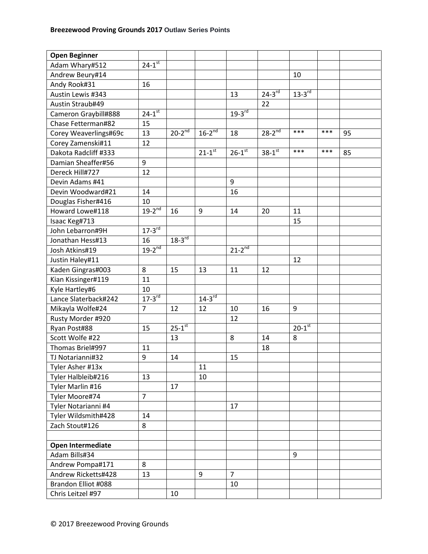| <b>Open Beginner</b>  |                        |                      |                        |                      |                      |                      |     |    |
|-----------------------|------------------------|----------------------|------------------------|----------------------|----------------------|----------------------|-----|----|
| Adam Whary#512        | $24-1$ <sup>st</sup>   |                      |                        |                      |                      |                      |     |    |
| Andrew Beury#14       |                        |                      |                        |                      |                      | 10                   |     |    |
| Andy Rook#31          | 16                     |                      |                        |                      |                      |                      |     |    |
| Austin Lewis #343     |                        |                      |                        | 13                   | $24-3$ <sup>rd</sup> | $13-3^{rd}$          |     |    |
| Austin Straub#49      |                        |                      |                        |                      | 22                   |                      |     |    |
| Cameron Graybill#888  | $24 - 1$ <sup>st</sup> |                      |                        | $19-3$ <sup>rd</sup> |                      |                      |     |    |
| Chase Fetterman#82    | 15                     |                      |                        |                      |                      |                      |     |    |
| Corey Weaverlings#69c | 13                     | $20-2^{nd}$          | $16-2^{nd}$            | 18                   | $28-2^{nd}$          | ***                  | *** | 95 |
| Corey Zamenski#11     | 12                     |                      |                        |                      |                      |                      |     |    |
| Dakota Radcliff #333  |                        |                      | $21-1$ <sup>st</sup>   | $26-1$ <sup>st</sup> | $38-1$ <sup>st</sup> | ***                  | *** | 85 |
| Damian Sheaffer#56    | 9                      |                      |                        |                      |                      |                      |     |    |
| Dereck Hill#727       | 12                     |                      |                        |                      |                      |                      |     |    |
| Devin Adams #41       |                        |                      |                        | 9                    |                      |                      |     |    |
| Devin Woodward#21     | 14                     |                      |                        | 16                   |                      |                      |     |    |
| Douglas Fisher#416    | 10                     |                      |                        |                      |                      |                      |     |    |
| Howard Lowe#118       | $19-2^{nd}$            | 16                   | 9                      | 14                   | 20                   | 11                   |     |    |
| Isaac Keg#713         |                        |                      |                        |                      |                      | 15                   |     |    |
| John Lebarron#9H      | $17-3^{rd}$            |                      |                        |                      |                      |                      |     |    |
| Jonathan Hess#13      | 16                     | $18-3^{rd}$          |                        |                      |                      |                      |     |    |
| Josh Atkins#19        | $19-2^{nd}$            |                      |                        | $21-2^{nd}$          |                      |                      |     |    |
| Justin Haley#11       |                        |                      |                        |                      |                      | 12                   |     |    |
| Kaden Gingras#003     | 8                      | 15                   | 13                     | 11                   | 12                   |                      |     |    |
| Kian Kissinger#119    | 11                     |                      |                        |                      |                      |                      |     |    |
| Kyle Hartley#6        | 10                     |                      |                        |                      |                      |                      |     |    |
| Lance Slaterback#242  | $17-3$ <sup>rd</sup>   |                      | $14 - 3$ <sup>rd</sup> |                      |                      |                      |     |    |
| Mikayla Wolfe#24      | $\overline{7}$         | 12                   | 12                     | 10                   | 16                   | 9                    |     |    |
| Rusty Morder #920     |                        |                      |                        | 12                   |                      |                      |     |    |
| Ryan Post#88          | 15                     | $25-1$ <sup>st</sup> |                        |                      |                      | $20-1$ <sup>st</sup> |     |    |
| Scott Wolfe #22       |                        | 13                   |                        | 8                    | 14                   | 8                    |     |    |
| Thomas Briel#997      | 11                     |                      |                        |                      | 18                   |                      |     |    |
| TJ Notarianni#32      | 9                      | 14                   |                        | 15                   |                      |                      |     |    |
| Tyler Asher #13x      |                        |                      | 11                     |                      |                      |                      |     |    |
| Tyler Halbleib#216    | 13                     |                      | 10                     |                      |                      |                      |     |    |
| Tyler Marlin #16      |                        | 17                   |                        |                      |                      |                      |     |    |
| Tyler Moore#74        | $\overline{7}$         |                      |                        |                      |                      |                      |     |    |
| Tyler Notarianni #4   |                        |                      |                        | 17                   |                      |                      |     |    |
| Tyler Wildsmith#428   | 14                     |                      |                        |                      |                      |                      |     |    |
| Zach Stout#126        | 8                      |                      |                        |                      |                      |                      |     |    |
|                       |                        |                      |                        |                      |                      |                      |     |    |
| Open Intermediate     |                        |                      |                        |                      |                      |                      |     |    |
| Adam Bills#34         |                        |                      |                        |                      |                      | 9                    |     |    |
| Andrew Pompa#171      | 8                      |                      |                        |                      |                      |                      |     |    |
| Andrew Ricketts#428   | 13                     |                      | 9                      | $\overline{7}$       |                      |                      |     |    |
| Brandon Elliot #088   |                        |                      |                        | 10                   |                      |                      |     |    |
| Chris Leitzel #97     |                        | 10                   |                        |                      |                      |                      |     |    |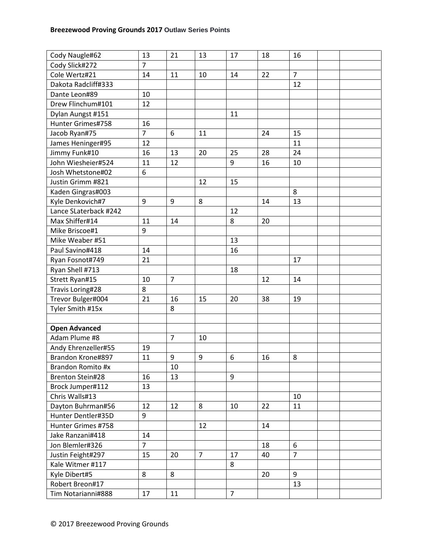| Cody Naugle#62          | 13             | 21             | 13             | 17             | 18 | 16             |  |
|-------------------------|----------------|----------------|----------------|----------------|----|----------------|--|
| Cody Slick#272          | $\overline{7}$ |                |                |                |    |                |  |
| Cole Wertz#21           | 14             | 11             | 10             | 14             | 22 | $\overline{7}$ |  |
| Dakota Radcliff#333     |                |                |                |                |    | 12             |  |
| Dante Leon#89           | 10             |                |                |                |    |                |  |
| Drew Flinchum#101       | 12             |                |                |                |    |                |  |
| Dylan Aungst #151       |                |                |                | 11             |    |                |  |
| Hunter Grimes#758       | 16             |                |                |                |    |                |  |
| Jacob Ryan#75           | $\overline{7}$ | 6              | 11             |                | 24 | 15             |  |
| James Heninger#95       | 12             |                |                |                |    | 11             |  |
| Jimmy Funk#10           | 16             | 13             | 20             | 25             | 28 | 24             |  |
| John Wiesheier#524      | 11             | 12             |                | 9              | 16 | 10             |  |
| Josh Whetstone#02       | 6              |                |                |                |    |                |  |
| Justin Grimm #821       |                |                | 12             | 15             |    |                |  |
| Kaden Gingras#003       |                |                |                |                |    | 8              |  |
| Kyle Denkovich#7        | 9              | 9              | 8              |                | 14 | 13             |  |
| Lance SLaterback #242   |                |                |                | 12             |    |                |  |
| Max Shiffer#14          | 11             | 14             |                | 8              | 20 |                |  |
| Mike Briscoe#1          | 9              |                |                |                |    |                |  |
| Mike Weaber #51         |                |                |                | 13             |    |                |  |
| Paul Savino#418         | 14             |                |                | 16             |    |                |  |
| Ryan Fosnot#749         | 21             |                |                |                |    | 17             |  |
| Ryan Shell #713         |                |                |                | 18             |    |                |  |
| Strett Ryan#15          | 10             | $\overline{7}$ |                |                | 12 | 14             |  |
| Travis Loring#28        | 8              |                |                |                |    |                |  |
| Trevor Bulger#004       | 21             | 16             | 15             | 20             | 38 | 19             |  |
| Tyler Smith #15x        |                | 8              |                |                |    |                |  |
|                         |                |                |                |                |    |                |  |
| <b>Open Advanced</b>    |                |                |                |                |    |                |  |
| Adam Plume #8           |                | $\overline{7}$ | 10             |                |    |                |  |
| Andy Ehrenzeller#55     | 19             |                |                |                |    |                |  |
| Brandon Krone#897       | 11             | 9              | 9              | 6              | 16 | 8              |  |
| Brandon Romito #x       |                | 10             |                |                |    |                |  |
| <b>Brenton Stein#28</b> | 16             | 13             |                | 9              |    |                |  |
| Brock Jumper#112        | 13             |                |                |                |    |                |  |
| Chris Walls#13          |                |                |                |                |    | 10             |  |
| Dayton Buhrman#56       | 12             | 12             | 8              | 10             | 22 | 11             |  |
| Hunter Dentler#35D      | 9              |                |                |                |    |                |  |
| Hunter Grimes #758      |                |                | 12             |                | 14 |                |  |
| Jake Ranzani#418        | 14             |                |                |                |    |                |  |
| Jon Blemler#326         | $\overline{7}$ |                |                |                | 18 | 6              |  |
| Justin Feight#297       | 15             | 20             | $\overline{7}$ | 17             | 40 | $\overline{7}$ |  |
| Kale Witmer #117        |                |                |                | 8              |    |                |  |
| Kyle Dibert#5           | 8              | 8              |                |                | 20 | 9              |  |
| Robert Breon#17         |                |                |                |                |    | 13             |  |
| Tim Notarianni#888      | 17             | 11             |                | $\overline{7}$ |    |                |  |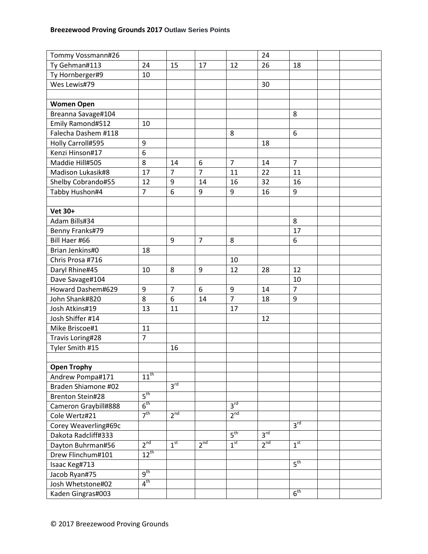| Tommy Vossmann#26       |                 |                 |                 |                 | 24              |                 |  |
|-------------------------|-----------------|-----------------|-----------------|-----------------|-----------------|-----------------|--|
| Ty Gehman#113           | 24              | 15              | 17              | 12              | 26              | 18              |  |
| Ty Hornberger#9         | 10              |                 |                 |                 |                 |                 |  |
| Wes Lewis#79            |                 |                 |                 |                 | 30              |                 |  |
|                         |                 |                 |                 |                 |                 |                 |  |
| <b>Women Open</b>       |                 |                 |                 |                 |                 |                 |  |
| Breanna Savage#104      |                 |                 |                 |                 |                 | 8               |  |
| Emily Ramond#512        | 10              |                 |                 |                 |                 |                 |  |
| Falecha Dashem #118     |                 |                 |                 | 8               |                 | 6               |  |
| Holly Carroll#595       | 9               |                 |                 |                 | 18              |                 |  |
| Kenzi Hinson#17         | 6               |                 |                 |                 |                 |                 |  |
| Maddie Hill#505         | 8               | 14              | 6               | $\overline{7}$  | 14              | $\overline{7}$  |  |
| Madison Lukasik#8       | 17              | $\overline{7}$  | $\overline{7}$  | 11              | 22              | 11              |  |
| Shelby Cobrando#55      | 12              | 9               | 14              | 16              | 32              | 16              |  |
| Tabby Hushon#4          | $\overline{7}$  | 6               | 9               | 9               | 16              | 9               |  |
|                         |                 |                 |                 |                 |                 |                 |  |
| <b>Vet 30+</b>          |                 |                 |                 |                 |                 |                 |  |
| Adam Bills#34           |                 |                 |                 |                 |                 | 8               |  |
| Benny Franks#79         |                 |                 |                 |                 |                 | 17              |  |
| Bill Haer #66           |                 | 9               | $\overline{7}$  | 8               |                 | 6               |  |
| Brian Jenkins#0         | 18              |                 |                 |                 |                 |                 |  |
| Chris Prosa #716        |                 |                 |                 | 10              |                 |                 |  |
| Daryl Rhine#45          | 10              | 8               | 9               | 12              | 28              | 12              |  |
| Dave Savage#104         |                 |                 |                 |                 |                 | 10              |  |
| Howard Dashem#629       | 9               | $\overline{7}$  | 6               | 9               | 14              | $\overline{7}$  |  |
| John Shank#820          | 8               | 6               | 14              | $\overline{7}$  | 18              | 9               |  |
| Josh Atkins#19          | 13              | 11              |                 | 17              |                 |                 |  |
| Josh Shiffer #14        |                 |                 |                 |                 | 12              |                 |  |
| Mike Briscoe#1          | 11              |                 |                 |                 |                 |                 |  |
| Travis Loring#28        | $\overline{7}$  |                 |                 |                 |                 |                 |  |
| Tyler Smith #15         |                 | 16              |                 |                 |                 |                 |  |
|                         |                 |                 |                 |                 |                 |                 |  |
| <b>Open Trophy</b>      |                 |                 |                 |                 |                 |                 |  |
| Andrew Pompa#171        | $11^{th}$       |                 |                 |                 |                 |                 |  |
| Braden Shiamone #02     |                 | 3 <sup>rd</sup> |                 |                 |                 |                 |  |
| <b>Brenton Stein#28</b> | 5 <sup>th</sup> |                 |                 |                 |                 |                 |  |
| Cameron Graybill#888    | $6^{\text{th}}$ |                 |                 | 3 <sup>rd</sup> |                 |                 |  |
| Cole Wertz#21           | 7 <sup>th</sup> | 2 <sup>nd</sup> |                 | 2 <sup>nd</sup> |                 |                 |  |
| Corey Weaverling#69c    |                 |                 |                 |                 |                 | 3 <sup>rd</sup> |  |
| Dakota Radcliff#333     |                 |                 |                 | 5 <sup>th</sup> | 3 <sup>rd</sup> |                 |  |
| Dayton Buhrman#56       | 2 <sup>nd</sup> | 1 <sup>st</sup> | 2 <sup>nd</sup> | 1 <sup>st</sup> | 2 <sup>nd</sup> | 1 <sup>st</sup> |  |
| Drew Flinchum#101       | $12^{th}$       |                 |                 |                 |                 |                 |  |
| Isaac Keg#713           |                 |                 |                 |                 |                 | 5 <sup>th</sup> |  |
| Jacob Ryan#75           | $q^{th}$        |                 |                 |                 |                 |                 |  |
| Josh Whetstone#02       | 4 <sup>th</sup> |                 |                 |                 |                 |                 |  |
| Kaden Gingras#003       |                 |                 |                 |                 |                 | 6 <sup>th</sup> |  |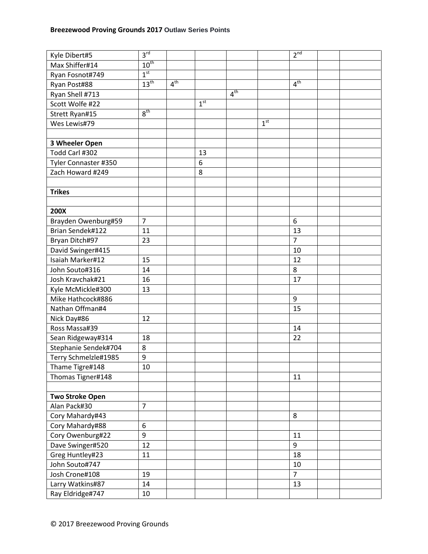| Kyle Dibert#5          | 3 <sup>rd</sup>  |                 |                 |                 |                 | 2 <sup>nd</sup> |  |
|------------------------|------------------|-----------------|-----------------|-----------------|-----------------|-----------------|--|
| Max Shiffer#14         | $10^{th}$        |                 |                 |                 |                 |                 |  |
| Ryan Fosnot#749        | 1 <sup>st</sup>  |                 |                 |                 |                 |                 |  |
| Ryan Post#88           | 13 <sup>th</sup> | 4 <sup>th</sup> |                 |                 |                 | 4 <sup>th</sup> |  |
| Ryan Shell #713        |                  |                 |                 | 4 <sup>th</sup> |                 |                 |  |
| Scott Wolfe #22        |                  |                 | 1 <sup>st</sup> |                 |                 |                 |  |
| Strett Ryan#15         | 8 <sup>th</sup>  |                 |                 |                 |                 |                 |  |
| Wes Lewis#79           |                  |                 |                 |                 | 1 <sup>st</sup> |                 |  |
|                        |                  |                 |                 |                 |                 |                 |  |
| 3 Wheeler Open         |                  |                 |                 |                 |                 |                 |  |
| Todd Carl #302         |                  |                 | 13              |                 |                 |                 |  |
| Tyler Connaster #350   |                  |                 | 6               |                 |                 |                 |  |
| Zach Howard #249       |                  |                 | 8               |                 |                 |                 |  |
|                        |                  |                 |                 |                 |                 |                 |  |
| <b>Trikes</b>          |                  |                 |                 |                 |                 |                 |  |
|                        |                  |                 |                 |                 |                 |                 |  |
| 200X                   |                  |                 |                 |                 |                 |                 |  |
| Brayden Owenburg#59    | $\overline{7}$   |                 |                 |                 |                 | 6               |  |
| Brian Sendek#122       | 11               |                 |                 |                 |                 | 13              |  |
| Bryan Ditch#97         | 23               |                 |                 |                 |                 | $\overline{7}$  |  |
| David Swinger#415      |                  |                 |                 |                 |                 | 10              |  |
| Isaiah Marker#12       | 15               |                 |                 |                 |                 | 12              |  |
| John Souto#316         | 14               |                 |                 |                 |                 | 8               |  |
| Josh Kravchak#21       | 16               |                 |                 |                 |                 | 17              |  |
| Kyle McMickle#300      | 13               |                 |                 |                 |                 |                 |  |
| Mike Hathcock#886      |                  |                 |                 |                 |                 | 9               |  |
| Nathan Offman#4        |                  |                 |                 |                 |                 | 15              |  |
| Nick Day#86            | 12               |                 |                 |                 |                 |                 |  |
| Ross Massa#39          |                  |                 |                 |                 |                 | 14              |  |
| Sean Ridgeway#314      | 18               |                 |                 |                 |                 | 22              |  |
| Stephanie Sendek#704   | 8                |                 |                 |                 |                 |                 |  |
| Terry Schmelzle#1985   | 9                |                 |                 |                 |                 |                 |  |
| Thame Tigre#148        | 10               |                 |                 |                 |                 |                 |  |
| Thomas Tigner#148      |                  |                 |                 |                 |                 | 11              |  |
|                        |                  |                 |                 |                 |                 |                 |  |
| <b>Two Stroke Open</b> |                  |                 |                 |                 |                 |                 |  |
| Alan Pack#30           | $\overline{7}$   |                 |                 |                 |                 |                 |  |
| Cory Mahardy#43        |                  |                 |                 |                 |                 | 8               |  |
| Cory Mahardy#88        | 6                |                 |                 |                 |                 |                 |  |
| Cory Owenburg#22       | 9                |                 |                 |                 |                 | 11              |  |
| Dave Swinger#520       | 12               |                 |                 |                 |                 | 9               |  |
| Greg Huntley#23        | 11               |                 |                 |                 |                 | 18              |  |
| John Souto#747         |                  |                 |                 |                 |                 | $10\,$          |  |
| Josh Crone#108         | 19               |                 |                 |                 |                 | $\overline{7}$  |  |
| Larry Watkins#87       | 14               |                 |                 |                 |                 | 13              |  |
| Ray Eldridge#747       | $10\,$           |                 |                 |                 |                 |                 |  |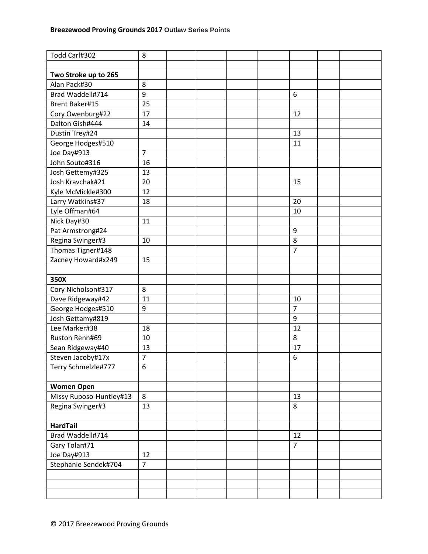| Todd Carl#302           | 8              |  |  |                |  |
|-------------------------|----------------|--|--|----------------|--|
|                         |                |  |  |                |  |
| Two Stroke up to 265    |                |  |  |                |  |
| Alan Pack#30            | 8              |  |  |                |  |
| Brad Waddell#714        | 9              |  |  | 6              |  |
| <b>Brent Baker#15</b>   | 25             |  |  |                |  |
| Cory Owenburg#22        | 17             |  |  | 12             |  |
| Dalton Gish#444         | 14             |  |  |                |  |
| Dustin Trey#24          |                |  |  | 13             |  |
| George Hodges#510       |                |  |  | 11             |  |
| Joe Day#913             | $\overline{7}$ |  |  |                |  |
| John Souto#316          | 16             |  |  |                |  |
| Josh Gettemy#325        | 13             |  |  |                |  |
| Josh Kravchak#21        | 20             |  |  | 15             |  |
| Kyle McMickle#300       | 12             |  |  |                |  |
| Larry Watkins#37        | 18             |  |  | 20             |  |
| Lyle Offman#64          |                |  |  | 10             |  |
| Nick Day#30             | 11             |  |  |                |  |
| Pat Armstrong#24        |                |  |  | 9              |  |
| Regina Swinger#3        | 10             |  |  | 8              |  |
| Thomas Tigner#148       |                |  |  | $\overline{7}$ |  |
| Zacney Howard#x249      | 15             |  |  |                |  |
|                         |                |  |  |                |  |
| 350X                    |                |  |  |                |  |
| Cory Nicholson#317      | 8              |  |  |                |  |
| Dave Ridgeway#42        | 11             |  |  | 10             |  |
| George Hodges#510       | 9              |  |  | $\overline{7}$ |  |
| Josh Gettamy#819        |                |  |  | 9              |  |
| Lee Marker#38           | 18             |  |  | 12             |  |
| Ruston Renn#69          | 10             |  |  | 8              |  |
| Sean Ridgeway#40        | 13             |  |  | 17             |  |
| Steven Jacoby#17x       | $\overline{7}$ |  |  | 6              |  |
| Terry Schmelzle#777     | 6              |  |  |                |  |
|                         |                |  |  |                |  |
| <b>Women Open</b>       |                |  |  |                |  |
| Missy Ruposo-Huntley#13 | 8              |  |  | 13             |  |
| Regina Swinger#3        | 13             |  |  | 8              |  |
|                         |                |  |  |                |  |
| <b>HardTail</b>         |                |  |  |                |  |
| Brad Waddell#714        |                |  |  | 12             |  |
| Gary Tolar#71           |                |  |  | $\overline{7}$ |  |
| Joe Day#913             | 12             |  |  |                |  |
| Stephanie Sendek#704    | $\overline{7}$ |  |  |                |  |
|                         |                |  |  |                |  |
|                         |                |  |  |                |  |
|                         |                |  |  |                |  |